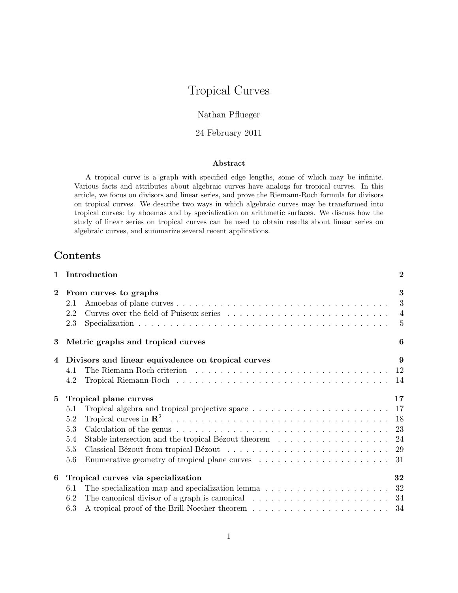# Tropical Curves

Nathan Pflueger

24 February 2011

#### Abstract

A tropical curve is a graph with specified edge lengths, some of which may be infinite. Various facts and attributes about algebraic curves have analogs for tropical curves. In this article, we focus on divisors and linear series, and prove the Riemann-Roch formula for divisors on tropical curves. We describe two ways in which algebraic curves may be transformed into tropical curves: by aboemas and by specialization on arithmetic surfaces. We discuss how the study of linear series on tropical curves can be used to obtain results about linear series on algebraic curves, and summarize several recent applications.

## Contents

| $\mathbf{1}$ | Introduction                                                                                                                                                                                                                                                                        | $\overline{2}$ |
|--------------|-------------------------------------------------------------------------------------------------------------------------------------------------------------------------------------------------------------------------------------------------------------------------------------|----------------|
| $\bf{2}$     | From curves to graphs<br>2.1<br>2.2<br>2.3                                                                                                                                                                                                                                          | 3              |
| 3            | Metric graphs and tropical curves                                                                                                                                                                                                                                                   | 6              |
| 4            | Divisors and linear equivalence on tropical curves<br>4.1<br>4.2                                                                                                                                                                                                                    | 9              |
| 5            | Tropical plane curves<br>Tropical algebra and tropical projective space $\dots \dots \dots \dots \dots \dots \dots \dots \dots \dots \dots \dots \dots \dots \dots$<br>5.1<br>5.2<br>5.3<br>5.4<br>5.5<br>5.6                                                                       | 17             |
| 6            | Tropical curves via specialization<br>The specialization map and specialization lemma $\ldots \ldots \ldots \ldots \ldots \ldots \ldots \ldots$ 32<br>6.1<br>The canonical divisor of a graph is canonical $\dots \dots \dots \dots \dots \dots \dots \dots \dots$ 34<br>6.2<br>6.3 | 32             |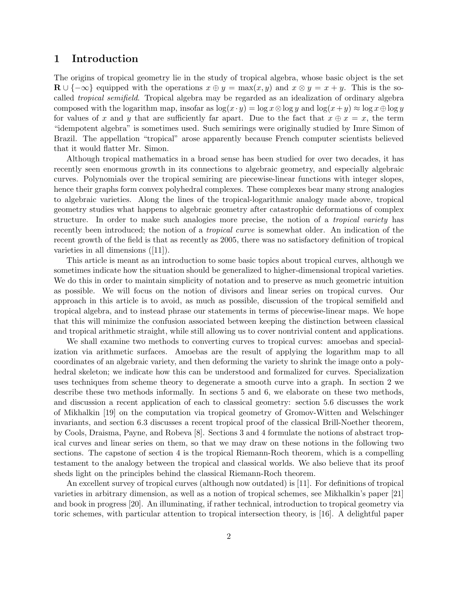## 1 Introduction

The origins of tropical geometry lie in the study of tropical algebra, whose basic object is the set  $\mathbf{R} \cup \{-\infty\}$  equipped with the operations  $x \oplus y = \max(x, y)$  and  $x \otimes y = x + y$ . This is the socalled tropical semifield. Tropical algebra may be regarded as an idealization of ordinary algebra composed with the logarithm map, insofar as  $\log(x \cdot y) = \log x \otimes \log y$  and  $\log(x+y) \approx \log x \oplus \log y$ for values of x and y that are sufficiently far apart. Due to the fact that  $x \oplus x = x$ , the term "idempotent algebra" is sometimes used. Such semirings were originally studied by Imre Simon of Brazil. The appellation "tropical" arose apparently because French computer scientists believed that it would flatter Mr. Simon.

Although tropical mathematics in a broad sense has been studied for over two decades, it has recently seen enormous growth in its connections to algebraic geometry, and especially algebraic curves. Polynomials over the tropical semiring are piecewise-linear functions with integer slopes, hence their graphs form convex polyhedral complexes. These complexes bear many strong analogies to algebraic varieties. Along the lines of the tropical-logarithmic analogy made above, tropical geometry studies what happens to algebraic geometry after catastrophic deformations of complex structure. In order to make such analogies more precise, the notion of a tropical variety has recently been introduced; the notion of a *tropical curve* is somewhat older. An indication of the recent growth of the field is that as recently as 2005, there was no satisfactory definition of tropical varieties in all dimensions ([11]).

This article is meant as an introduction to some basic topics about tropical curves, although we sometimes indicate how the situation should be generalized to higher-dimensional tropical varieties. We do this in order to maintain simplicity of notation and to preserve as much geometric intuition as possible. We will focus on the notion of divisors and linear series on tropical curves. Our approach in this article is to avoid, as much as possible, discussion of the tropical semifield and tropical algebra, and to instead phrase our statements in terms of piecewise-linear maps. We hope that this will minimize the confusion associated between keeping the distinction between classical and tropical arithmetic straight, while still allowing us to cover nontrivial content and applications.

We shall examine two methods to converting curves to tropical curves: amoebas and specialization via arithmetic surfaces. Amoebas are the result of applying the logarithm map to all coordinates of an algebraic variety, and then deforming the variety to shrink the image onto a polyhedral skeleton; we indicate how this can be understood and formalized for curves. Specialization uses techniques from scheme theory to degenerate a smooth curve into a graph. In section 2 we describe these two methods informally. In sections 5 and 6, we elaborate on these two methods, and discussion a recent application of each to classical geometry: section 5.6 discusses the work of Mikhalkin [19] on the computation via tropical geometry of Gromov-Witten and Welschinger invariants, and section 6.3 discusses a recent tropical proof of the classical Brill-Noether theorem, by Cools, Draisma, Payne, and Robeva [8]. Sections 3 and 4 formulate the notions of abstract tropical curves and linear series on them, so that we may draw on these notions in the following two sections. The capstone of section 4 is the tropical Riemann-Roch theorem, which is a compelling testament to the analogy between the tropical and classical worlds. We also believe that its proof sheds light on the principles behind the classical Riemann-Roch theorem.

An excellent survey of tropical curves (although now outdated) is [11]. For definitions of tropical varieties in arbitrary dimension, as well as a notion of tropical schemes, see Mikhalkin's paper [21] and book in progress [20]. An illuminating, if rather technical, introduction to tropical geometry via toric schemes, with particular attention to tropical intersection theory, is [16]. A delightful paper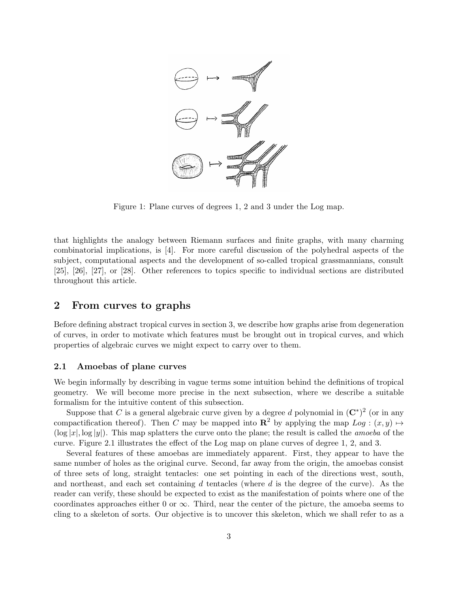

Figure 1: Plane curves of degrees 1, 2 and 3 under the Log map.

that highlights the analogy between Riemann surfaces and finite graphs, with many charming combinatorial implications, is [4]. For more careful discussion of the polyhedral aspects of the subject, computational aspects and the development of so-called tropical grassmannians, consult [25], [26], [27], or [28]. Other references to topics specific to individual sections are distributed throughout this article.

## 2 From curves to graphs

Before defining abstract tropical curves in section 3, we describe how graphs arise from degeneration of curves, in order to motivate which features must be brought out in tropical curves, and which properties of algebraic curves we might expect to carry over to them.

#### 2.1 Amoebas of plane curves

We begin informally by describing in vague terms some intuition behind the definitions of tropical geometry. We will become more precise in the next subsection, where we describe a suitable formalism for the intuitive content of this subsection.

Suppose that C is a general algebraic curve given by a degree d polynomial in  $(\mathbb{C}^*)^2$  (or in any compactification thereof). Then C may be mapped into  $\mathbb{R}^2$  by applying the map  $Log: (x, y) \mapsto$  $(\log |x|, \log |y|)$ . This map splatters the curve onto the plane; the result is called the *amoeba* of the curve. Figure 2.1 illustrates the effect of the Log map on plane curves of degree 1, 2, and 3.

Several features of these amoebas are immediately apparent. First, they appear to have the same number of holes as the original curve. Second, far away from the origin, the amoebas consist of three sets of long, straight tentacles: one set pointing in each of the directions west, south, and northeast, and each set containing d tentacles (where d is the degree of the curve). As the reader can verify, these should be expected to exist as the manifestation of points where one of the coordinates approaches either 0 or  $\infty$ . Third, near the center of the picture, the amoeba seems to cling to a skeleton of sorts. Our objective is to uncover this skeleton, which we shall refer to as a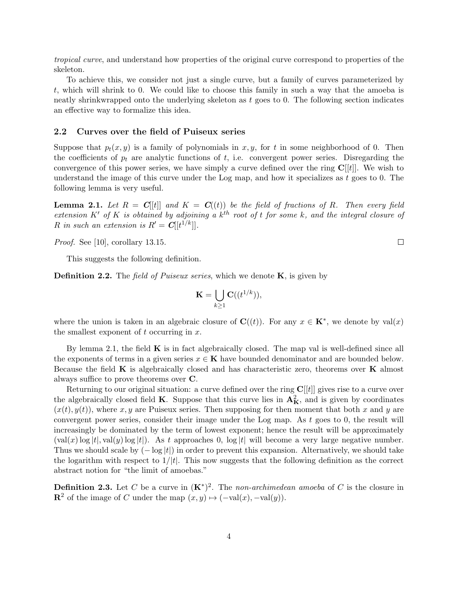tropical curve, and understand how properties of the original curve correspond to properties of the skeleton.

To achieve this, we consider not just a single curve, but a family of curves parameterized by t, which will shrink to 0. We could like to choose this family in such a way that the amoeba is neatly shrinkwrapped onto the underlying skeleton as  $t$  goes to 0. The following section indicates an effective way to formalize this idea.

#### 2.2 Curves over the field of Puiseux series

Suppose that  $p_t(x, y)$  is a family of polynomials in  $x, y$ , for t in some neighborhood of 0. Then the coefficients of  $p_t$  are analytic functions of  $t$ , i.e. convergent power series. Disregarding the convergence of this power series, we have simply a curve defined over the ring  $\mathbf{C}[[t]]$ . We wish to understand the image of this curve under the Log map, and how it specializes as  $t$  goes to 0. The following lemma is very useful.

**Lemma 2.1.** Let  $R = C[[t]]$  and  $K = C((t))$  be the field of fractions of R. Then every field extension K' of K is obtained by adjoining a  $k^{th}$  root of t for some k, and the integral closure of R in such an extension is  $R' = C[[t^{1/k}]]$ .

Proof. See [10], corollary 13.15.

This suggests the following definition.

**Definition 2.2.** The field of Puiseux series, which we denote  $\mathbf{K}$ , is given by

$$
\mathbf{K} = \bigcup_{k \ge 1} \mathbf{C}((t^{1/k})),
$$

where the union is taken in an algebraic closure of  $\mathbf{C}((t))$ . For any  $x \in \mathbf{K}^*$ , we denote by val $(x)$ the smallest exponent of  $t$  occurring in  $x$ .

By lemma 2.1, the field  $\bf{K}$  is in fact algebraically closed. The map val is well-defined since all the exponents of terms in a given series  $x \in K$  have bounded denominator and are bounded below. Because the field  $\bf{K}$  is algebraically closed and has characteristic zero, theorems over  $\bf{K}$  almost always suffice to prove theorems over C.

Returning to our original situation: a curve defined over the ring  $\mathbf{C}[[t]]$  gives rise to a curve over the algebraically closed field **K**. Suppose that this curve lies in  $A_K^2$ , and is given by coordinates  $(x(t), y(t))$ , where x, y are Puiseux series. Then supposing for then moment that both x and y are convergent power series, consider their image under the Log map. As t goes to 0, the result will increasingly be dominated by the term of lowest exponent; hence the result will be approximately  $(\text{val}(x) \log |t|, \text{val}(y) \log |t|)$ . As t approaches 0,  $\log |t|$  will become a very large negative number. Thus we should scale by  $(-\log|t|)$  in order to prevent this expansion. Alternatively, we should take the logarithm with respect to  $1/|t|$ . This now suggests that the following definition as the correct abstract notion for "the limit of amoebas."

**Definition 2.3.** Let C be a curve in  $(K^*)^2$ . The non-archimedean amoeba of C is the closure in  $\mathbb{R}^2$  of the image of C under the map  $(x, y) \mapsto (-\text{val}(x), -\text{val}(y)).$ 

 $\Box$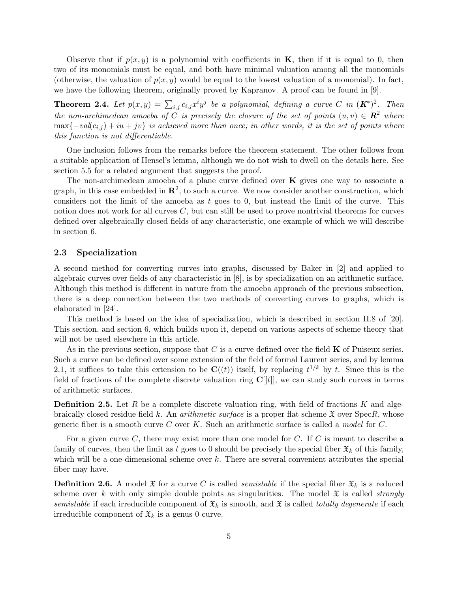Observe that if  $p(x, y)$  is a polynomial with coefficients in **K**, then if it is equal to 0, then two of its monomials must be equal, and both have minimal valuation among all the monomials (otherwise, the valuation of  $p(x, y)$  would be equal to the lowest valuation of a monomial). In fact, we have the following theorem, originally proved by Kapranov. A proof can be found in [9].

**Theorem 2.4.** Let  $p(x, y) = \sum_{i,j} c_{i,j} x^i y^j$  be a polynomial, defining a curve C in  $(K^*)^2$ . Then the non-archimedean amoeba of C is precisely the closure of the set of points  $(u, v) \in \mathbb{R}^2$  where  $\max\{-val(c_{i,j}) + iu + jv\}$  is achieved more than once; in other words, it is the set of points where this function is not differentiable.

One inclusion follows from the remarks before the theorem statement. The other follows from a suitable application of Hensel's lemma, although we do not wish to dwell on the details here. See section 5.5 for a related argument that suggests the proof.

The non-archimedean amoeba of a plane curve defined over  $\bf{K}$  gives one way to associate a graph, in this case embedded in  $\mathbb{R}^2$ , to such a curve. We now consider another construction, which considers not the limit of the amoeba as  $t$  goes to 0, but instead the limit of the curve. This notion does not work for all curves  $C$ , but can still be used to prove nontrivial theorems for curves defined over algebraically closed fields of any characteristic, one example of which we will describe in section 6.

#### 2.3 Specialization

A second method for converting curves into graphs, discussed by Baker in [2] and applied to algebraic curves over fields of any characteristic in [8], is by specialization on an arithmetic surface. Although this method is different in nature from the amoeba approach of the previous subsection, there is a deep connection between the two methods of converting curves to graphs, which is elaborated in [24].

This method is based on the idea of specialization, which is described in section II.8 of [20]. This section, and section 6, which builds upon it, depend on various aspects of scheme theory that will not be used elsewhere in this article.

As in the previous section, suppose that C is a curve defined over the field  $\bf{K}$  of Puiseux series. Such a curve can be defined over some extension of the field of formal Laurent series, and by lemma 2.1, it suffices to take this extension to be  $\mathbf{C}((t))$  itself, by replacing  $t^{1/k}$  by t. Since this is the field of fractions of the complete discrete valuation ring  $\mathbf{C}[[t]]$ , we can study such curves in terms of arithmetic surfaces.

**Definition 2.5.** Let R be a complete discrete valuation ring, with field of fractions K and algebraically closed residue field k. An *arithmetic surface* is a proper flat scheme  $\mathfrak X$  over SpecR, whose generic fiber is a smooth curve C over K. Such an arithmetic surface is called a model for  $C$ .

For a given curve C, there may exist more than one model for C. If C is meant to describe a family of curves, then the limit as t goes to 0 should be precisely the special fiber  $\mathfrak{X}_k$  of this family, which will be a one-dimensional scheme over k. There are several convenient attributes the special fiber may have.

**Definition 2.6.** A model  $\mathfrak{X}$  for a curve C is called *semistable* if the special fiber  $\mathfrak{X}_k$  is a reduced scheme over k with only simple double points as singularities. The model  $\mathfrak X$  is called *strongly* semistable if each irreducible component of  $\mathfrak{X}_k$  is smooth, and  $\mathfrak{X}$  is called totally degenerate if each irreducible component of  $\mathfrak{X}_k$  is a genus 0 curve.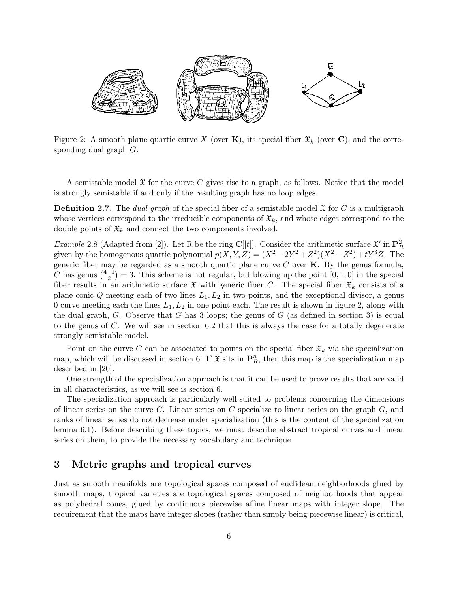

Figure 2: A smooth plane quartic curve X (over K), its special fiber  $\mathfrak{X}_k$  (over C), and the corresponding dual graph G.

A semistable model  $\mathfrak X$  for the curve C gives rise to a graph, as follows. Notice that the model is strongly semistable if and only if the resulting graph has no loop edges.

**Definition 2.7.** The *dual graph* of the special fiber of a semistable model  $\mathfrak{X}$  for C is a multigraph whose vertices correspond to the irreducible components of  $\mathfrak{X}_k$ , and whose edges correspond to the double points of  $\mathfrak{X}_k$  and connect the two components involved.

*Example* 2.8 (Adapted from [2]). Let R be the ring  $\mathbf{C}[[t]]$ . Consider the arithmetic surface  $\mathfrak{X}'$  in  $\mathbf{P}_R^2$ given by the homogenous quartic polynomial  $p(X, Y, Z) = (X^2 - 2Y^2 + Z^2)(X^2 - Z^2) + tY^3Z$ . The generic fiber may be regarded as a smooth quartic plane curve  $C$  over  $K$ . By the genus formula, C has genus  $\binom{4-1}{2}$  $\binom{-1}{2} = 3$ . This scheme is not regular, but blowing up the point  $[0, 1, 0]$  in the special fiber results in an arithmetic surface  $\mathfrak X$  with generic fiber C. The special fiber  $\mathfrak X_k$  consists of a plane conic  $Q$  meeting each of two lines  $L_1, L_2$  in two points, and the exceptional divisor, a genus 0 curve meeting each the lines  $L_1, L_2$  in one point each. The result is shown in figure 2, along with the dual graph, G. Observe that G has 3 loops; the genus of G (as defined in section 3) is equal to the genus of  $C$ . We will see in section 6.2 that this is always the case for a totally degenerate strongly semistable model.

Point on the curve C can be associated to points on the special fiber  $\mathfrak{X}_k$  via the specialization map, which will be discussed in section 6. If  $\mathfrak{X}$  sits in  $\mathbf{P}_R^n$ , then this map is the specialization map described in [20].

One strength of the specialization approach is that it can be used to prove results that are valid in all characteristics, as we will see is section 6.

The specialization approach is particularly well-suited to problems concerning the dimensions of linear series on the curve C. Linear series on C specialize to linear series on the graph  $G$ , and ranks of linear series do not decrease under specialization (this is the content of the specialization lemma 6.1). Before describing these topics, we must describe abstract tropical curves and linear series on them, to provide the necessary vocabulary and technique.

## 3 Metric graphs and tropical curves

Just as smooth manifolds are topological spaces composed of euclidean neighborhoods glued by smooth maps, tropical varieties are topological spaces composed of neighborhoods that appear as polyhedral cones, glued by continuous piecewise affine linear maps with integer slope. The requirement that the maps have integer slopes (rather than simply being piecewise linear) is critical,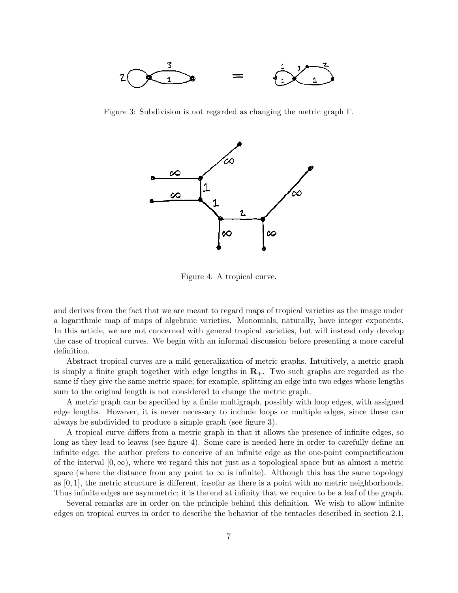

Figure 3: Subdivision is not regarded as changing the metric graph Γ.



Figure 4: A tropical curve.

and derives from the fact that we are meant to regard maps of tropical varieties as the image under a logarithmic map of maps of algebraic varieties. Monomials, naturally, have integer exponents. In this article, we are not concerned with general tropical varieties, but will instead only develop the case of tropical curves. We begin with an informal discussion before presenting a more careful definition.

Abstract tropical curves are a mild generalization of metric graphs. Intuitively, a metric graph is simply a finite graph together with edge lengths in  $\mathbb{R}_+$ . Two such graphs are regarded as the same if they give the same metric space; for example, splitting an edge into two edges whose lengths sum to the original length is not considered to change the metric graph.

A metric graph can be specified by a finite multigraph, possibly with loop edges, with assigned edge lengths. However, it is never necessary to include loops or multiple edges, since these can always be subdivided to produce a simple graph (see figure 3).

A tropical curve differs from a metric graph in that it allows the presence of infinite edges, so long as they lead to leaves (see figure 4). Some care is needed here in order to carefully define an infinite edge: the author prefers to conceive of an infinite edge as the one-point compactification of the interval  $[0, \infty)$ , where we regard this not just as a topological space but as almost a metric space (where the distance from any point to  $\infty$  is infinite). Although this has the same topology as  $[0, 1]$ , the metric structure is different, insofar as there is a point with no metric neighborhoods. Thus infinite edges are asymmetric; it is the end at infinity that we require to be a leaf of the graph.

Several remarks are in order on the principle behind this definition. We wish to allow infinite edges on tropical curves in order to describe the behavior of the tentacles described in section 2.1,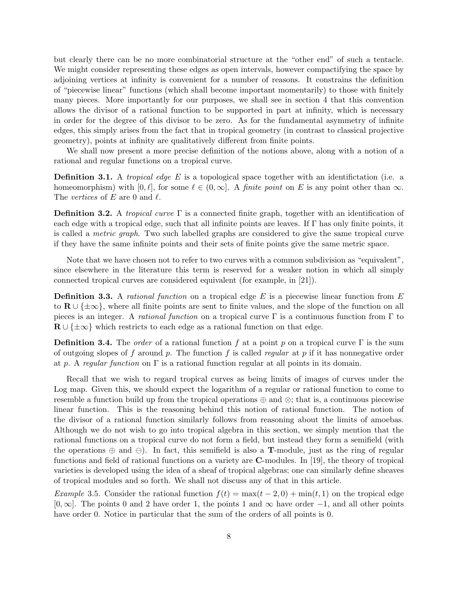but clearly there can be no more combinatorial structure at the "other end" of such a tentacle. We might consider representing these edges as open intervals, however compactifying the space by adjoining vertices at infinity is convenient for a number of reasons. It constrains the definition of "piecewise linear" functions (which shall become important momentarily) to those with finitely many pieces. More importantly for our purposes, we shall see in section 4 that this convention allows the divisor of a rational function to be supported in part at infinity, which is necessary in order for the degree of this divisor to be zero. As for the fundamental asymmetry of infinite edges, this simply arises from the fact that in tropical geometry (in contrast to classical projective geometry), points at infinity are qualitatively different from finite points.

We shall now present a more precise definition of the notions above, along with a notion of a rational and regular functions on a tropical curve.

**Definition 3.1.** A *tropical edge E* is a topological space together with an identifictation (i.e. a homeomorphism) with [0,  $\ell$ ], for some  $\ell \in (0,\infty]$ . A finite point on E is any point other than  $\infty$ . The vertices of  $E$  are 0 and  $\ell$ .

**Definition 3.2.** A *tropical curve*  $\Gamma$  is a connected finite graph, together with an identification of each edge with a tropical edge, such that all infinite points are leaves. If  $\Gamma$  has only finite points, it is called a metric graph. Two such labelled graphs are considered to give the same tropical curve if they have the same infinite points and their sets of finite points give the same metric space.

Note that we have chosen not to refer to two curves with a common subdivision as "equivalent", since elsewhere in the literature this term is reserved for a weaker notion in which all simply connected tropical curves are considered equivalent (for example, in [21]).

**Definition 3.3.** A rational function on a tropical edge E is a piecewise linear function from E to  $\mathbf{R} \cup {\{\pm \infty\}}$ , where all finite points are sent to finite values, and the slope of the function on all pieces is an integer. A *rational function* on a tropical curve  $\Gamma$  is a continuous function from  $\Gamma$  to  $\mathbf{R} \cup {\{\pm \infty\}}$  which restricts to each edge as a rational function on that edge.

**Definition 3.4.** The *order* of a rational function f at a point p on a tropical curve  $\Gamma$  is the sum of outgoing slopes of f around p. The function f is called regular at p if it has nonnegative order at p. A regular function on  $\Gamma$  is a rational function regular at all points in its domain.

Recall that we wish to regard tropical curves as being limits of images of curves under the Log map. Given this, we should expect the logarithm of a regular or rational function to come to resemble a function build up from the tropical operations  $\oplus$  and  $\otimes$ ; that is, a continuous piecewise linear function. This is the reasoning behind this notion of rational function. The notion of the divisor of a rational function similarly follows from reasoning about the limits of amoebas. Although we do not wish to go into tropical algebra in this section, we simply mention that the rational functions on a tropical curve do not form a field, but instead they form a semifield (with the operations  $\oplus$  and  $\ominus$ ). In fact, this semifield is also a **T**-module, just as the ring of regular functions and field of rational functions on a variety are C-modules. In [19], the theory of tropical varieties is developed using the idea of a sheaf of tropical algebras; one can similarly define sheaves of tropical modules and so forth. We shall not discuss any of that in this article.

Example 3.5. Consider the rational function  $f(t) = \max(t-2,0) + \min(t,1)$  on the tropical edge  $[0, \infty]$ . The points 0 and 2 have order 1, the points 1 and  $\infty$  have order  $-1$ , and all other points have order 0. Notice in particular that the sum of the orders of all points is 0.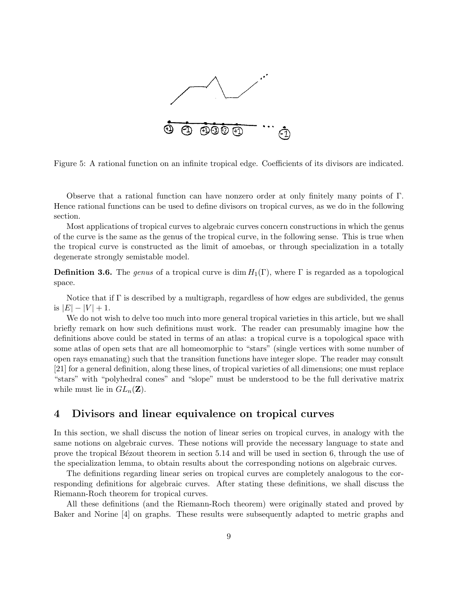

Figure 5: A rational function on an infinite tropical edge. Coefficients of its divisors are indicated.

Observe that a rational function can have nonzero order at only finitely many points of Γ. Hence rational functions can be used to define divisors on tropical curves, as we do in the following section.

Most applications of tropical curves to algebraic curves concern constructions in which the genus of the curve is the same as the genus of the tropical curve, in the following sense. This is true when the tropical curve is constructed as the limit of amoebas, or through specialization in a totally degenerate strongly semistable model.

**Definition 3.6.** The genus of a tropical curve is dim  $H_1(\Gamma)$ , where  $\Gamma$  is regarded as a topological space.

Notice that if Γ is described by a multigraph, regardless of how edges are subdivided, the genus is  $|E| - |V| + 1$ .

We do not wish to delve too much into more general tropical varieties in this article, but we shall briefly remark on how such definitions must work. The reader can presumably imagine how the definitions above could be stated in terms of an atlas: a tropical curve is a topological space with some atlas of open sets that are all homeomorphic to "stars" (single vertices with some number of open rays emanating) such that the transition functions have integer slope. The reader may consult [21] for a general definition, along these lines, of tropical varieties of all dimensions; one must replace "stars" with "polyhedral cones" and "slope" must be understood to be the full derivative matrix while must lie in  $GL_n(\mathbf{Z})$ .

## 4 Divisors and linear equivalence on tropical curves

In this section, we shall discuss the notion of linear series on tropical curves, in analogy with the same notions on algebraic curves. These notions will provide the necessary language to state and prove the tropical Bézout theorem in section 5.14 and will be used in section 6, through the use of the specialization lemma, to obtain results about the corresponding notions on algebraic curves.

The definitions regarding linear series on tropical curves are completely analogous to the corresponding definitions for algebraic curves. After stating these definitions, we shall discuss the Riemann-Roch theorem for tropical curves.

All these definitions (and the Riemann-Roch theorem) were originally stated and proved by Baker and Norine [4] on graphs. These results were subsequently adapted to metric graphs and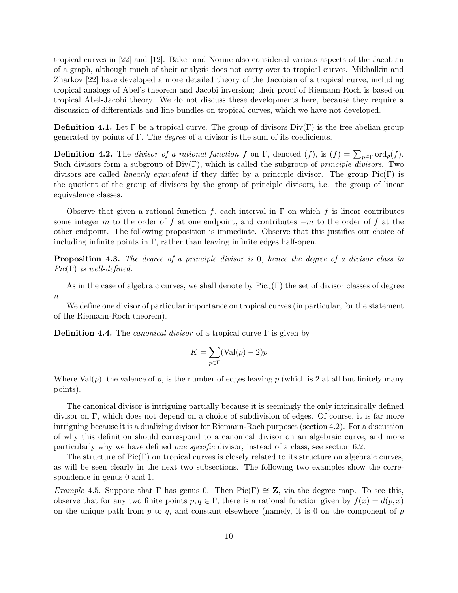tropical curves in [22] and [12]. Baker and Norine also considered various aspects of the Jacobian of a graph, although much of their analysis does not carry over to tropical curves. Mikhalkin and Zharkov [22] have developed a more detailed theory of the Jacobian of a tropical curve, including tropical analogs of Abel's theorem and Jacobi inversion; their proof of Riemann-Roch is based on tropical Abel-Jacobi theory. We do not discuss these developments here, because they require a discussion of differentials and line bundles on tropical curves, which we have not developed.

**Definition 4.1.** Let  $\Gamma$  be a tropical curve. The group of divisors  $Div(\Gamma)$  is the free abelian group generated by points of Γ. The *degree* of a divisor is the sum of its coefficients.

**Definition 4.2.** The divisor of a rational function f on  $\Gamma$ , denoted  $(f)$ , is  $(f) = \sum_{p \in \Gamma} \text{ord}_p(f)$ . Such divisors form a subgroup of  $Div(\Gamma)$ , which is called the subgroup of *principle divisors*. Two divisors are called *linearly equivalent* if they differ by a principle divisor. The group Pic(Γ) is the quotient of the group of divisors by the group of principle divisors, i.e. the group of linear equivalence classes.

Observe that given a rational function f, each interval in  $\Gamma$  on which f is linear contributes some integer m to the order of f at one endpoint, and contributes  $-m$  to the order of f at the other endpoint. The following proposition is immediate. Observe that this justifies our choice of including infinite points in  $\Gamma$ , rather than leaving infinite edges half-open.

**Proposition 4.3.** The degree of a principle divisor is 0, hence the degree of a divisor class in  $Pic(\Gamma)$  is well-defined.

As in the case of algebraic curves, we shall denote by  $Pic_n(\Gamma)$  the set of divisor classes of degree  $n$ .

We define one divisor of particular importance on tropical curves (in particular, for the statement of the Riemann-Roch theorem).

**Definition 4.4.** The *canonical divisor* of a tropical curve  $\Gamma$  is given by

$$
K = \sum_{p \in \Gamma} (\text{Val}(p) - 2)p
$$

Where  $Val(p)$ , the valence of p, is the number of edges leaving p (which is 2 at all but finitely many points).

The canonical divisor is intriguing partially because it is seemingly the only intrinsically defined divisor on Γ, which does not depend on a choice of subdivision of edges. Of course, it is far more intriguing because it is a dualizing divisor for Riemann-Roch purposes (section 4.2). For a discussion of why this definition should correspond to a canonical divisor on an algebraic curve, and more particularly why we have defined one specific divisor, instead of a class, see section 6.2.

The structure of  $Pic(\Gamma)$  on tropical curves is closely related to its structure on algebraic curves, as will be seen clearly in the next two subsections. The following two examples show the correspondence in genus 0 and 1.

Example 4.5. Suppose that Γ has genus 0. Then Pic(Γ)  $\cong$  **Z**, via the degree map. To see this, observe that for any two finite points  $p, q \in \Gamma$ , there is a rational function given by  $f(x) = d(p, x)$ on the unique path from  $p$  to  $q$ , and constant elsewhere (namely, it is 0 on the component of  $p$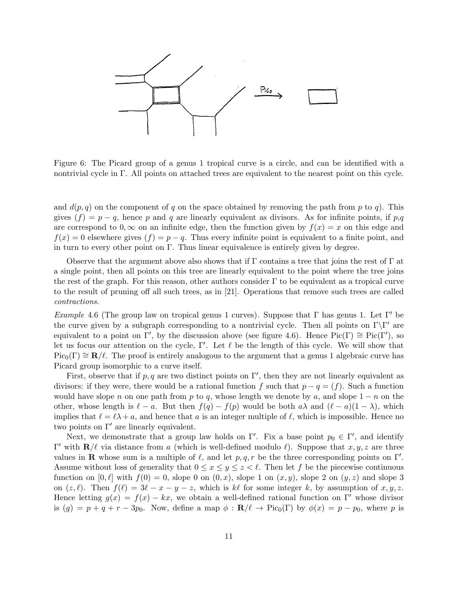

Figure 6: The Picard group of a genus 1 tropical curve is a circle, and can be identified with a nontrivial cycle in Γ. All points on attached trees are equivalent to the nearest point on this cycle.

and  $d(p, q)$  on the component of q on the space obtained by removing the path from p to q). This gives  $(f) = p - q$ , hence p and q are linearly equivalent as divisors. As for infinite points, if p,q are correspond to  $0, \infty$  on an infinite edge, then the function given by  $f(x) = x$  on this edge and  $f(x) = 0$  elsewhere gives  $(f) = p - q$ . Thus every infinite point is equivalent to a finite point, and in turn to every other point on Γ. Thus linear equivalence is entirely given by degree.

Observe that the argument above also shows that if  $\Gamma$  contains a tree that joins the rest of  $\Gamma$  at a single point, then all points on this tree are linearly equivalent to the point where the tree joins the rest of the graph. For this reason, other authors consider  $\Gamma$  to be equivalent as a tropical curve to the result of pruning off all such trees, as in [21]. Operations that remove such trees are called contractions.

Example 4.6 (The group law on tropical genus 1 curves). Suppose that  $\Gamma$  has genus 1. Let  $\Gamma'$  be the curve given by a subgraph corresponding to a nontrivial cycle. Then all points on  $\Gamma\backslash\Gamma'$  are equivalent to a point on  $\Gamma'$ , by the discussion above (see figure 4.6). Hence Pic(Γ)  $\cong Pic(\Gamma')$ , so let us focus our attention on the cycle, Γ'. Let  $\ell$  be the length of this cycle. We will show that  $Pic_0(\Gamma) \cong \mathbf{R}/\ell$ . The proof is entirely analogous to the argument that a genus 1 algebraic curve has Picard group isomorphic to a curve itself.

First, observe that if  $p, q$  are two distinct points on  $\Gamma'$ , then they are not linearly equivalent as divisors: if they were, there would be a rational function f such that  $p - q = (f)$ . Such a function would have slope n on one path from p to q, whose length we denote by a, and slope  $1 - n$  on the other, whose length is  $\ell - a$ . But then  $f(q) - f(p)$  would be both  $a\lambda$  and  $(\ell - a)(1 - \lambda)$ , which implies that  $\ell = \ell \lambda + a$ , and hence that a is an integer multiple of  $\ell$ , which is impossible. Hence no two points on  $\Gamma'$  are linearly equivalent.

Next, we demonstrate that a group law holds on  $\Gamma'$ . Fix a base point  $p_0 \in \Gamma'$ , and identify Γ' with  $\mathbf{R}/\ell$  via distance from a (which is well-defined modulo  $\ell$ ). Suppose that  $x, y, z$  are three values in **R** whose sum is a multiple of  $\ell$ , and let p, q, r be the three corresponding points on Γ'. Assume without loss of generality that  $0 \le x \le y \le z \le \ell$ . Then let f be the piecewise continuous function on  $[0, \ell]$  with  $f(0) = 0$ , slope 0 on  $(0, x)$ , slope 1 on  $(x, y)$ , slope 2 on  $(y, z)$  and slope 3 on  $(z, \ell)$ . Then  $f(\ell) = 3\ell - x - y - z$ , which is k $\ell$  for some integer k, by assumption of x, y, z. Hence letting  $g(x) = f(x) - kx$ , we obtain a well-defined rational function on Γ' whose divisor is  $(g) = p + q + r - 3p_0$ . Now, define a map  $\phi : \mathbf{R}/\ell \to \text{Pic}_0(\Gamma)$  by  $\phi(x) = p - p_0$ , where p is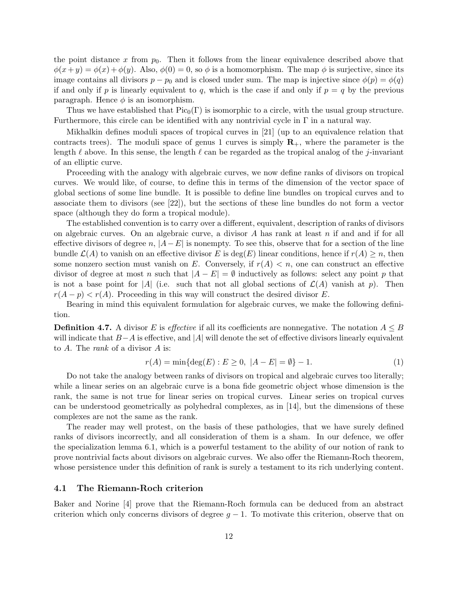the point distance x from  $p_0$ . Then it follows from the linear equivalence described above that  $\phi(x+y) = \phi(x) + \phi(y)$ . Also,  $\phi(0) = 0$ , so  $\phi$  is a homomorphism. The map  $\phi$  is surjective, since its image contains all divisors  $p - p_0$  and is closed under sum. The map is injective since  $\phi(p) = \phi(q)$ if and only if p is linearly equivalent to q, which is the case if and only if  $p = q$  by the previous paragraph. Hence  $\phi$  is an isomorphism.

Thus we have established that  $Pic_0(\Gamma)$  is isomorphic to a circle, with the usual group structure. Furthermore, this circle can be identified with any nontrivial cycle in  $\Gamma$  in a natural way.

Mikhalkin defines moduli spaces of tropical curves in [21] (up to an equivalence relation that contracts trees). The moduli space of genus 1 curves is simply  $\mathbf{R}_{+}$ , where the parameter is the length  $\ell$  above. In this sense, the length  $\ell$  can be regarded as the tropical analog of the j-invariant of an elliptic curve.

Proceeding with the analogy with algebraic curves, we now define ranks of divisors on tropical curves. We would like, of course, to define this in terms of the dimension of the vector space of global sections of some line bundle. It is possible to define line bundles on tropical curves and to associate them to divisors (see [22]), but the sections of these line bundles do not form a vector space (although they do form a tropical module).

The established convention is to carry over a different, equivalent, description of ranks of divisors on algebraic curves. On an algebraic curve, a divisor  $A$  has rank at least  $n$  if and and if for all effective divisors of degree n,  $|A-E|$  is nonempty. To see this, observe that for a section of the line bundle  $\mathcal{L}(A)$  to vanish on an effective divisor E is deg(E) linear conditions, hence if  $r(A) \geq n$ , then some nonzero section must vanish on E. Conversely, if  $r(A) < n$ , one can construct an effective divisor of degree at most n such that  $|A - E| = \emptyset$  inductively as follows: select any point p that is not a base point for |A| (i.e. such that not all global sections of  $\mathcal{L}(A)$  vanish at p). Then  $r(A - p) < r(A)$ . Proceeding in this way will construct the desired divisor E.

Bearing in mind this equivalent formulation for algebraic curves, we make the following definition.

**Definition 4.7.** A divisor E is effective if all its coefficients are nonnegative. The notation  $A \leq B$ will indicate that  $B-A$  is effective, and |A| will denote the set of effective divisors linearly equivalent to A. The rank of a divisor A is:

$$
r(A) = \min\{\deg(E) : E \ge 0, \ |A - E| = \emptyset\} - 1.
$$
 (1)

Do not take the analogy between ranks of divisors on tropical and algebraic curves too literally; while a linear series on an algebraic curve is a bona fide geometric object whose dimension is the rank, the same is not true for linear series on tropical curves. Linear series on tropical curves can be understood geometrically as polyhedral complexes, as in [14], but the dimensions of these complexes are not the same as the rank.

The reader may well protest, on the basis of these pathologies, that we have surely defined ranks of divisors incorrectly, and all consideration of them is a sham. In our defence, we offer the specialization lemma 6.1, which is a powerful testament to the ability of our notion of rank to prove nontrivial facts about divisors on algebraic curves. We also offer the Riemann-Roch theorem, whose persistence under this definition of rank is surely a testament to its rich underlying content.

#### 4.1 The Riemann-Roch criterion

Baker and Norine [4] prove that the Riemann-Roch formula can be deduced from an abstract criterion which only concerns divisors of degree  $g - 1$ . To motivate this criterion, observe that on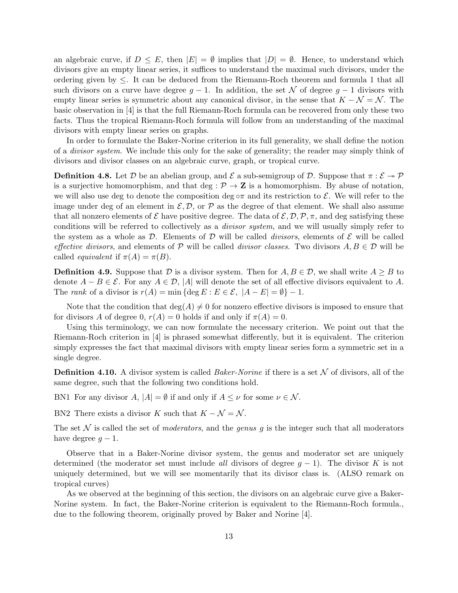an algebraic curve, if  $D \leq E$ , then  $|E| = \emptyset$  implies that  $|D| = \emptyset$ . Hence, to understand which divisors give an empty linear series, it suffices to understand the maximal such divisors, under the ordering given by ≤. It can be deduced from the Riemann-Roch theorem and formula 1 that all such divisors on a curve have degree  $g - 1$ . In addition, the set N of degree  $g - 1$  divisors with empty linear series is symmetric about any canonical divisor, in the sense that  $K - \mathcal{N} = \mathcal{N}$ . The basic observation in [4] is that the full Riemann-Roch formula can be recovered from only these two facts. Thus the tropical Riemann-Roch formula will follow from an understanding of the maximal divisors with empty linear series on graphs.

In order to formulate the Baker-Norine criterion in its full generality, we shall define the notion of a *divisor system*. We include this only for the sake of generality; the reader may simply think of divisors and divisor classes on an algebraic curve, graph, or tropical curve.

**Definition 4.8.** Let D be an abelian group, and  $\mathcal{E}$  a sub-semigroup of D. Suppose that  $\pi : \mathcal{E} \to \mathcal{P}$ is a surjective homomorphism, and that deg :  $\mathcal{P} \to \mathbf{Z}$  is a homomorphism. By abuse of notation, we will also use deg to denote the composition deg  $\circ \pi$  and its restriction to  $\mathcal{E}$ . We will refer to the image under deg of an element in  $\mathcal{E}, \mathcal{D}$ , or  $\mathcal{P}$  as the degree of that element. We shall also assume that all nonzero elements of  $\mathcal E$  have positive degree. The data of  $\mathcal E, \mathcal D, \mathcal P, \pi$ , and deg satisfying these conditions will be referred to collectively as a divisor system, and we will usually simply refer to the system as a whole as  $D$ . Elements of  $D$  will be called *divisors*, elements of  $E$  will be called effective divisors, and elements of P will be called divisor classes. Two divisors  $A, B \in \mathcal{D}$  will be called *equivalent* if  $\pi(A) = \pi(B)$ .

**Definition 4.9.** Suppose that D is a divisor system. Then for  $A, B \in \mathcal{D}$ , we shall write  $A \geq B$  to denote  $A - B \in \mathcal{E}$ . For any  $A \in \mathcal{D}$ , |A| will denote the set of all effective divisors equivalent to A. The *rank* of a divisor is  $r(A) = \min \{ \deg E : E \in \mathcal{E}, |A - E| = \emptyset \} - 1.$ 

Note that the condition that  $\deg(A) \neq 0$  for nonzero effective divisors is imposed to ensure that for divisors A of degree 0,  $r(A) = 0$  holds if and only if  $\pi(A) = 0$ .

Using this terminology, we can now formulate the necessary criterion. We point out that the Riemann-Roch criterion in [4] is phrased somewhat differently, but it is equivalent. The criterion simply expresses the fact that maximal divisors with empty linear series form a symmetric set in a single degree.

**Definition 4.10.** A divisor system is called *Baker-Norine* if there is a set  $N$  of divisors, all of the same degree, such that the following two conditions hold.

BN1 For any divisor  $A$ ,  $|A| = \emptyset$  if and only if  $A \leq \nu$  for some  $\nu \in \mathcal{N}$ .

BN2 There exists a divisor K such that  $K - \mathcal{N} = \mathcal{N}$ .

The set  $\mathcal N$  is called the set of moderators, and the genus g is the integer such that all moderators have degree  $q-1$ .

Observe that in a Baker-Norine divisor system, the genus and moderator set are uniquely determined (the moderator set must include *all* divisors of degree  $g - 1$ ). The divisor K is not uniquely determined, but we will see momentarily that its divisor class is. (ALSO remark on tropical curves)

As we observed at the beginning of this section, the divisors on an algebraic curve give a Baker-Norine system. In fact, the Baker-Norine criterion is equivalent to the Riemann-Roch formula., due to the following theorem, originally proved by Baker and Norine [4].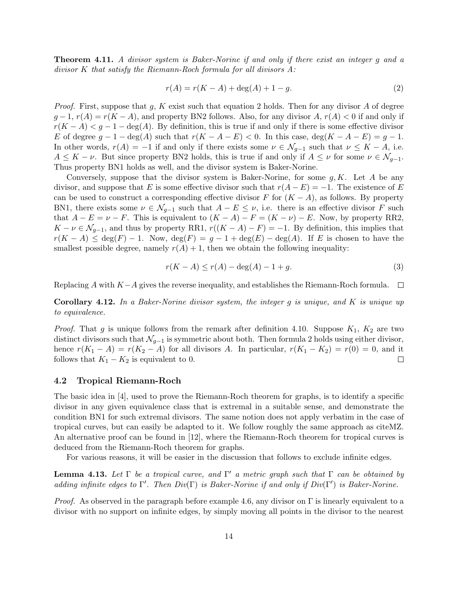Theorem 4.11. A divisor system is Baker-Norine if and only if there exist an integer g and a divisor K that satisfy the Riemann-Roch formula for all divisors A:

$$
r(A) = r(K - A) + \deg(A) + 1 - g.
$$
 (2)

*Proof.* First, suppose that g, K exist such that equation 2 holds. Then for any divisor A of degree  $g-1$ ,  $r(A) = r(K-A)$ , and property BN2 follows. Also, for any divisor A,  $r(A) < 0$  if and only if  $r(K-A) < g-1-\deg(A)$ . By definition, this is true if and only if there is some effective divisor E of degree  $g-1-\deg(A)$  such that  $r(K-A-E) < 0$ . In this case,  $\deg(K-A-E) = g-1$ . In other words,  $r(A) = -1$  if and only if there exists some  $\nu \in \mathcal{N}_{q-1}$  such that  $\nu \leq K - A$ , i.e.  $A \leq K - \nu$ . But since property BN2 holds, this is true if and only if  $A \leq \nu$  for some  $\nu \in \mathcal{N}_{q-1}$ . Thus property BN1 holds as well, and the divisor system is Baker-Norine.

Conversely, suppose that the divisor system is Baker-Norine, for some  $q, K$ . Let A be any divisor, and suppose that E is some effective divisor such that  $r(A - E) = -1$ . The existence of E can be used to construct a corresponding effective divisor F for  $(K - A)$ , as follows. By property BN1, there exists some  $\nu \in \mathcal{N}_{g-1}$  such that  $A - E \leq \nu$ , i.e. there is an effective divisor F such that  $A - E = \nu - F$ . This is equivalent to  $(K - A) - F = (K - \nu) - E$ . Now, by property RR2,  $K - \nu \in \mathcal{N}_{q-1}$ , and thus by property RR1,  $r((K - A) - F) = -1$ . By definition, this implies that  $r(K - A) \leq deg(F) - 1$ . Now,  $deg(F) = g - 1 + deg(E) - deg(A)$ . If E is chosen to have the smallest possible degree, namely  $r(A) + 1$ , then we obtain the following inequality:

$$
r(K - A) \le r(A) - \deg(A) - 1 + g. \tag{3}
$$

Replacing A with  $K-A$  gives the reverse inequality, and establishes the Riemann-Roch formula.  $\Box$ 

**Corollary 4.12.** In a Baker-Norine divisor system, the integer q is unique, and K is unique up to equivalence.

*Proof.* That g is unique follows from the remark after definition 4.10. Suppose  $K_1$ ,  $K_2$  are two distinct divisors such that  $\mathcal{N}_{g-1}$  is symmetric about both. Then formula 2 holds using either divisor, hence  $r(K_1 - A) = r(K_2 - A)$  for all divisors A. In particular,  $r(K_1 - K_2) = r(0) = 0$ , and it follows that  $K_1 - K_2$  is equivalent to 0.  $\Box$ 

#### 4.2 Tropical Riemann-Roch

The basic idea in [4], used to prove the Riemann-Roch theorem for graphs, is to identify a specific divisor in any given equivalence class that is extremal in a suitable sense, and demonstrate the condition BN1 for such extremal divisors. The same notion does not apply verbatim in the case of tropical curves, but can easily be adapted to it. We follow roughly the same approach as citeMZ. An alternative proof can be found in [12], where the Riemann-Roch theorem for tropical curves is deduced from the Riemann-Roch theorem for graphs.

For various reasons, it will be easier in the discussion that follows to exclude infinite edges.

**Lemma 4.13.** Let  $\Gamma$  be a tropical curve, and  $\Gamma'$  a metric graph such that  $\Gamma$  can be obtained by adding infinite edges to  $\Gamma'$ . Then  $Div(\Gamma)$  is Baker-Norine if and only if  $Div(\Gamma')$  is Baker-Norine.

*Proof.* As observed in the paragraph before example 4.6, any divisor on  $\Gamma$  is linearly equivalent to a divisor with no support on infinite edges, by simply moving all points in the divisor to the nearest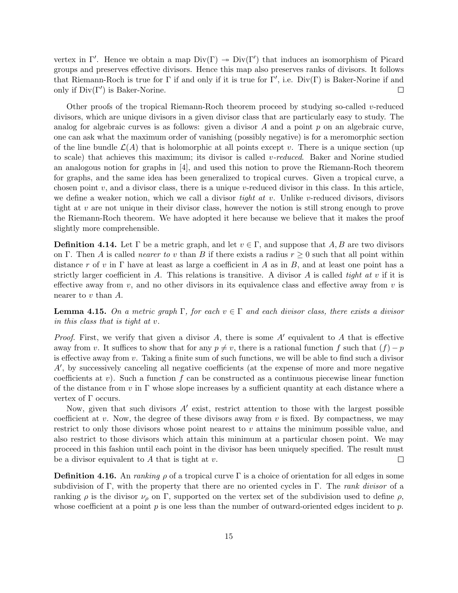vertex in Γ'. Hence we obtain a map  $Div(\Gamma) \rightarrow Div(\Gamma')$  that induces an isomorphism of Picard groups and preserves effective divisors. Hence this map also preserves ranks of divisors. It follows that Riemann-Roch is true for  $\Gamma$  if and only if it is true for  $\Gamma'$ , i.e. Div( $\Gamma$ ) is Baker-Norine if and only if  $Div(\Gamma')$  is Baker-Norine.  $\Box$ 

Other proofs of the tropical Riemann-Roch theorem proceed by studying so-called  $v$ -reduced divisors, which are unique divisors in a given divisor class that are particularly easy to study. The analog for algebraic curves is as follows: given a divisor  $A$  and a point  $p$  on an algebraic curve, one can ask what the maximum order of vanishing (possibly negative) is for a meromorphic section of the line bundle  $\mathcal{L}(A)$  that is holomorphic at all points except v. There is a unique section (up to scale) that achieves this maximum; its divisor is called v-reduced. Baker and Norine studied an analogous notion for graphs in [4], and used this notion to prove the Riemann-Roch theorem for graphs, and the same idea has been generalized to tropical curves. Given a tropical curve, a chosen point  $v$ , and a divisor class, there is a unique  $v$ -reduced divisor in this class. In this article, we define a weaker notion, which we call a divisor *tight at v*. Unlike v-reduced divisors, divisors tight at  $v$  are not unique in their divisor class, however the notion is still strong enough to prove the Riemann-Roch theorem. We have adopted it here because we believe that it makes the proof slightly more comprehensible.

**Definition 4.14.** Let  $\Gamma$  be a metric graph, and let  $v \in \Gamma$ , and suppose that A, B are two divisors on Γ. Then A is called *nearer to v* than B if there exists a radius  $r \geq 0$  such that all point within distance r of v in  $\Gamma$  have at least as large a coefficient in A as in B, and at least one point has a strictly larger coefficient in A. This relations is transitive. A divisor A is called tight at v if it is effective away from  $v$ , and no other divisors in its equivalence class and effective away from  $v$  is nearer to v than A.

**Lemma 4.15.** On a metric graph  $\Gamma$ , for each  $v \in \Gamma$  and each divisor class, there exists a divisor in this class that is tight at v.

*Proof.* First, we verify that given a divisor  $A$ , there is some  $A'$  equivalent to  $A$  that is effective away from v. It suffices to show that for any  $p \neq v$ , there is a rational function f such that  $(f) - p$ is effective away from v. Taking a finite sum of such functions, we will be able to find such a divisor  $A'$ , by successively canceling all negative coefficients (at the expense of more and more negative coefficients at v). Such a function  $f$  can be constructed as a continuous piecewise linear function of the distance from  $v$  in  $\Gamma$  whose slope increases by a sufficient quantity at each distance where a vertex of  $\Gamma$  occurs.

Now, given that such divisors  $A'$  exist, restrict attention to those with the largest possible coefficient at v. Now, the degree of these divisors away from  $v$  is fixed. By compactness, we may restrict to only those divisors whose point nearest to  $v$  attains the minimum possible value, and also restrict to those divisors which attain this minimum at a particular chosen point. We may proceed in this fashion until each point in the divisor has been uniquely specified. The result must be a divisor equivalent to  $A$  that is tight at  $v$ .  $\Box$ 

**Definition 4.16.** An ranking  $\rho$  of a tropical curve  $\Gamma$  is a choice of orientation for all edges in some subdivision of Γ, with the property that there are no oriented cycles in Γ. The rank divisor of a ranking  $\rho$  is the divisor  $\nu_{\rho}$  on Γ, supported on the vertex set of the subdivision used to define  $\rho$ , whose coefficient at a point  $p$  is one less than the number of outward-oriented edges incident to  $p$ .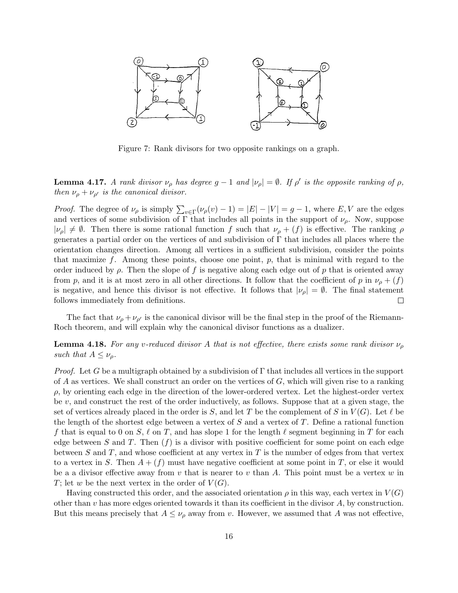

Figure 7: Rank divisors for two opposite rankings on a graph.

**Lemma 4.17.** A rank divisor  $\nu_{\rho}$  has degree  $g-1$  and  $|\nu_{\rho}| = \emptyset$ . If  $\rho'$  is the opposite ranking of  $\rho$ , then  $\nu_{\rho} + \nu_{\rho'}$  is the canonical divisor.

*Proof.* The degree of  $\nu_{\rho}$  is simply  $\sum_{v \in \Gamma} (\nu_{\rho}(v) - 1) = |E| - |V| = g - 1$ , where E, V are the edges and vertices of some subdivision of  $\Gamma$  that includes all points in the support of  $\nu_{\rho}$ . Now, suppose  $|\nu_{\rho}| \neq \emptyset$ . Then there is some rational function f such that  $\nu_{\rho} + (f)$  is effective. The ranking  $\rho$ generates a partial order on the vertices of and subdivision of Γ that includes all places where the orientation changes direction. Among all vertices in a sufficient subdivision, consider the points that maximize f. Among these points, choose one point,  $p$ , that is minimal with regard to the order induced by  $\rho$ . Then the slope of f is negative along each edge out of p that is oriented away from p, and it is at most zero in all other directions. It follow that the coefficient of p in  $\nu_{\rho} + (f)$ is negative, and hence this divisor is not effective. It follows that  $|\nu_{\rho}| = \emptyset$ . The final statement follows immediately from definitions.  $\Box$ 

The fact that  $\nu_{\rho} + \nu_{\rho'}$  is the canonical divisor will be the final step in the proof of the Riemann-Roch theorem, and will explain why the canonical divisor functions as a dualizer.

**Lemma 4.18.** For any v-reduced divisor A that is not effective, there exists some rank divisor  $\nu_{\rho}$ such that  $A \leq \nu_{\rho}$ .

*Proof.* Let G be a multigraph obtained by a subdivision of  $\Gamma$  that includes all vertices in the support of A as vertices. We shall construct an order on the vertices of  $G$ , which will given rise to a ranking  $\rho$ , by orienting each edge in the direction of the lower-ordered vertex. Let the highest-order vertex be  $v$ , and construct the rest of the order inductively, as follows. Suppose that at a given stage, the set of vertices already placed in the order is S, and let T be the complement of S in  $V(G)$ . Let  $\ell$  be the length of the shortest edge between a vertex of  $S$  and a vertex of  $T$ . Define a rational function f that is equal to 0 on S,  $\ell$  on T, and has slope 1 for the length  $\ell$  segment beginning in T for each edge between S and T. Then  $(f)$  is a divisor with positive coefficient for some point on each edge between S and T, and whose coefficient at any vertex in T is the number of edges from that vertex to a vertex in S. Then  $A + (f)$  must have negative coefficient at some point in T, or else it would be a a divisor effective away from v that is nearer to v than A. This point must be a vertex  $w$  in T; let w be the next vertex in the order of  $V(G)$ .

Having constructed this order, and the associated orientation  $\rho$  in this way, each vertex in  $V(G)$ other than  $v$  has more edges oriented towards it than its coefficient in the divisor  $A$ , by construction. But this means precisely that  $A \leq \nu_{\rho}$  away from v. However, we assumed that A was not effective,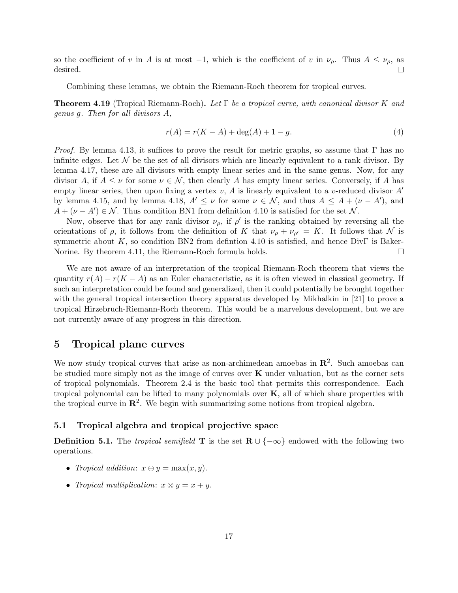so the coefficient of v in A is at most  $-1$ , which is the coefficient of v in  $\nu_{\rho}$ . Thus  $A \leq \nu_{\rho}$ , as desired.  $\Box$ 

Combining these lemmas, we obtain the Riemann-Roch theorem for tropical curves.

**Theorem 4.19** (Tropical Riemann-Roch). Let  $\Gamma$  be a tropical curve, with canonical divisor K and genus g. Then for all divisors A,

$$
r(A) = r(K - A) + \deg(A) + 1 - g.
$$
\n(4)

*Proof.* By lemma 4.13, it suffices to prove the result for metric graphs, so assume that  $\Gamma$  has no infinite edges. Let  $\mathcal N$  be the set of all divisors which are linearly equivalent to a rank divisor. By lemma 4.17, these are all divisors with empty linear series and in the same genus. Now, for any divisor A, if  $A \leq \nu$  for some  $\nu \in \mathcal{N}$ , then clearly A has empty linear series. Conversely, if A has empty linear series, then upon fixing a vertex v, A is linearly equivalent to a v-reduced divisor  $A<sup>'</sup>$ by lemma 4.15, and by lemma 4.18,  $A' \leq \nu$  for some  $\nu \in \mathcal{N}$ , and thus  $A \leq A + (\nu - A')$ , and  $A + (\nu - A') \in \mathcal{N}$ . Thus condition BN1 from definition 4.10 is satisfied for the set N.

Now, observe that for any rank divisor  $\nu_{\rho}$ , if  $\rho'$  is the ranking obtained by reversing all the orientations of  $\rho$ , it follows from the definition of K that  $\nu_{\rho} + \nu_{\rho'} = K$ . It follows that N is symmetric about K, so condition BN2 from definition 4.10 is satisfied, and hence DivΓ is Baker-Norine. By theorem 4.11, the Riemann-Roch formula holds.  $\Box$ 

We are not aware of an interpretation of the tropical Riemann-Roch theorem that views the quantity  $r(A) - r(K - A)$  as an Euler characteristic, as it is often viewed in classical geometry. If such an interpretation could be found and generalized, then it could potentially be brought together with the general tropical intersection theory apparatus developed by Mikhalkin in [21] to prove a tropical Hirzebruch-Riemann-Roch theorem. This would be a marvelous development, but we are not currently aware of any progress in this direction.

## 5 Tropical plane curves

We now study tropical curves that arise as non-archimedean amoebas in  $\mathbb{R}^2$ . Such amoebas can be studied more simply not as the image of curves over  $\bf{K}$  under valuation, but as the corner sets of tropical polynomials. Theorem 2.4 is the basic tool that permits this correspondence. Each tropical polynomial can be lifted to many polynomials over  $K$ , all of which share properties with the tropical curve in  $\mathbb{R}^2$ . We begin with summarizing some notions from tropical algebra.

#### 5.1 Tropical algebra and tropical projective space

**Definition 5.1.** The tropical semifield **T** is the set  $\mathbb{R} \cup \{-\infty\}$  endowed with the following two operations.

- Tropical addition:  $x \oplus y = \max(x, y)$ .
- Tropical multiplication:  $x \otimes y = x + y$ .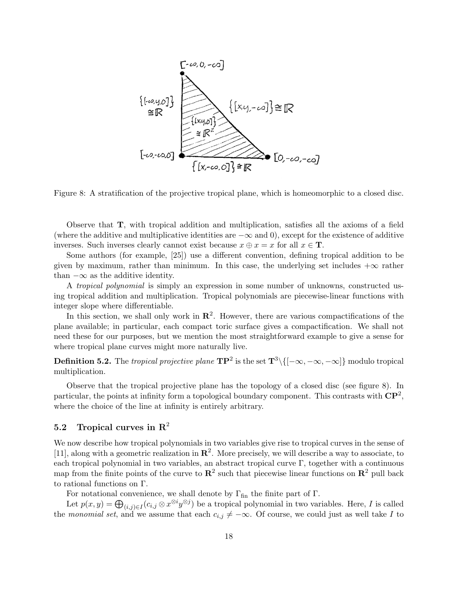

Figure 8: A stratification of the projective tropical plane, which is homeomorphic to a closed disc.

Observe that T, with tropical addition and multiplication, satisfies all the axioms of a field (where the additive and multiplicative identities are  $-\infty$  and 0), except for the existence of additive inverses. Such inverses clearly cannot exist because  $x \oplus x = x$  for all  $x \in \mathbf{T}$ .

Some authors (for example, [25]) use a different convention, defining tropical addition to be given by maximum, rather than minimum. In this case, the underlying set includes  $+\infty$  rather than  $-\infty$  as the additive identity.

A tropical polynomial is simply an expression in some number of unknowns, constructed using tropical addition and multiplication. Tropical polynomials are piecewise-linear functions with integer slope where differentiable.

In this section, we shall only work in  $\mathbb{R}^2$ . However, there are various compactifications of the plane available; in particular, each compact toric surface gives a compactification. We shall not need these for our purposes, but we mention the most straightforward example to give a sense for where tropical plane curves might more naturally live.

**Definition 5.2.** The tropical projective plane  $\mathbf{TP}^2$  is the set  $\mathbf{T}^3 \setminus \{[-\infty, -\infty, -\infty]\}$  modulo tropical multiplication.

Observe that the tropical projective plane has the topology of a closed disc (see figure 8). In particular, the points at infinity form a topological boundary component. This contrasts with  $\text{CP}^2,$ where the choice of the line at infinity is entirely arbitrary.

#### 5.2 Tropical curves in  $\mathbb{R}^2$

We now describe how tropical polynomials in two variables give rise to tropical curves in the sense of [11], along with a geometric realization in  $\mathbb{R}^2$ . More precisely, we will describe a way to associate, to each tropical polynomial in two variables, an abstract tropical curve  $\Gamma$ , together with a continuous map from the finite points of the curve to  $\mathbb{R}^2$  such that piecewise linear functions on  $\mathbb{R}^2$  pull back to rational functions on Γ.

For notational convenience, we shall denote by  $\Gamma_{fin}$  the finite part of  $\Gamma$ .

Let  $p(x, y) = \bigoplus_{(i,j) \in I} (c_{i,j} \otimes x^{\otimes i} y^{\otimes j})$  be a tropical polynomial in two variables. Here, I is called the monomial set, and we assume that each  $c_{i,j} \neq -\infty$ . Of course, we could just as well take I to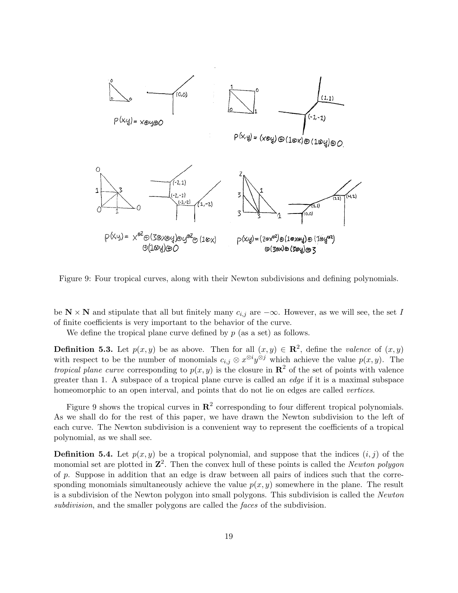

Figure 9: Four tropical curves, along with their Newton subdivisions and defining polynomials.

be  $N \times N$  and stipulate that all but finitely many  $c_{i,j}$  are  $-\infty$ . However, as we will see, the set I of finite coefficients is very important to the behavior of the curve.

We define the tropical plane curve defined by  $p$  (as a set) as follows.

**Definition 5.3.** Let  $p(x, y)$  be as above. Then for all  $(x, y) \in \mathbb{R}^2$ , define the valence of  $(x, y)$ with respect to be the number of monomials  $c_{i,j} \otimes x^{\otimes i}y^{\otimes j}$  which achieve the value  $p(x, y)$ . The tropical plane curve corresponding to  $p(x, y)$  is the closure in  $\mathbb{R}^2$  of the set of points with valence greater than 1. A subspace of a tropical plane curve is called an edge if it is a maximal subspace homeomorphic to an open interval, and points that do not lie on edges are called *vertices*.

Figure 9 shows the tropical curves in  $\mathbb{R}^2$  corresponding to four different tropical polynomials. As we shall do for the rest of this paper, we have drawn the Newton subdivision to the left of each curve. The Newton subdivision is a convenient way to represent the coefficients of a tropical polynomial, as we shall see.

**Definition 5.4.** Let  $p(x, y)$  be a tropical polynomial, and suppose that the indices  $(i, j)$  of the monomial set are plotted in  $\mathbb{Z}^2$ . Then the convex hull of these points is called the Newton polygon of p. Suppose in addition that an edge is draw between all pairs of indices such that the corresponding monomials simultaneously achieve the value  $p(x, y)$  somewhere in the plane. The result is a subdivision of the Newton polygon into small polygons. This subdivision is called the Newton subdivision, and the smaller polygons are called the faces of the subdivision.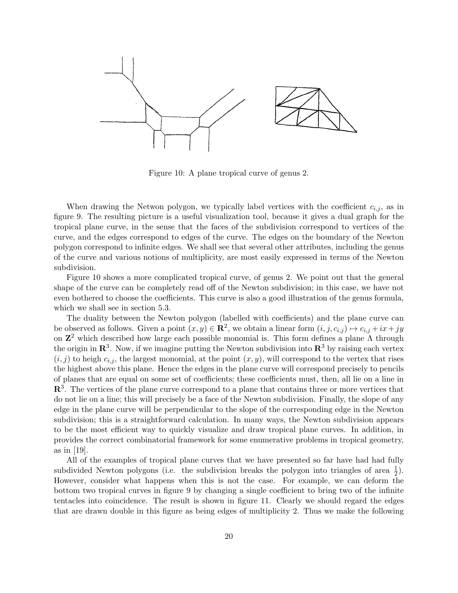

Figure 10: A plane tropical curve of genus 2.

When drawing the Netwon polygon, we typically label vertices with the coefficient  $c_{i,j}$ , as in figure 9. The resulting picture is a useful visualization tool, because it gives a dual graph for the tropical plane curve, in the sense that the faces of the subdivision correspond to vertices of the curve, and the edges correspond to edges of the curve. The edges on the boundary of the Newton polygon correspond to infinite edges. We shall see that several other attributes, including the genus of the curve and various notions of multiplicity, are most easily expressed in terms of the Newton subdivision.

Figure 10 shows a more complicated tropical curve, of genus 2. We point out that the general shape of the curve can be completely read off of the Newton subdivision; in this case, we have not even bothered to choose the coefficients. This curve is also a good illustration of the genus formula, which we shall see in section 5.3.

The duality between the Newton polygon (labelled with coefficients) and the plane curve can be observed as follows. Given a point  $(x, y) \in \mathbb{R}^2$ , we obtain a linear form  $(i, j, c_{i,j}) \mapsto c_{i,j} + ix + jy$ on  $\mathbb{Z}^2$  which described how large each possible monomial is. This form defines a plane  $\Lambda$  through the origin in  $\mathbb{R}^3$ . Now, if we imagine putting the Newton subdivision into  $\mathbb{R}^3$  by raising each vertex  $(i, j)$  to heigh  $c_{i,j}$ , the largest monomial, at the point  $(x, y)$ , will correspond to the vertex that rises the highest above this plane. Hence the edges in the plane curve will correspond precisely to pencils of planes that are equal on some set of coefficients; these coefficients must, then, all lie on a line in  $\mathbb{R}^3$ . The vertices of the plane curve correspond to a plane that contains three or more vertices that do not lie on a line; this will precisely be a face of the Newton subdivision. Finally, the slope of any edge in the plane curve will be perpendicular to the slope of the corresponding edge in the Newton subdivision; this is a straightforward calculation. In many ways, the Newton subdivision appears to be the most efficient way to quickly visualize and draw tropical plane curves. In addition, in provides the correct combinatorial framework for some enumerative problems in tropical geometry, as in [19].

All of the examples of tropical plane curves that we have presented so far have had had fully subdivided Newton polygons (i.e. the subdivision breaks the polygon into triangles of area  $\frac{1}{2}$ ). However, consider what happens when this is not the case. For example, we can deform the bottom two tropical curves in figure 9 by changing a single coefficient to bring two of the infinite tentacles into coincidence. The result is shown in figure 11. Clearly we should regard the edges that are drawn double in this figure as being edges of multiplicity 2. Thus we make the following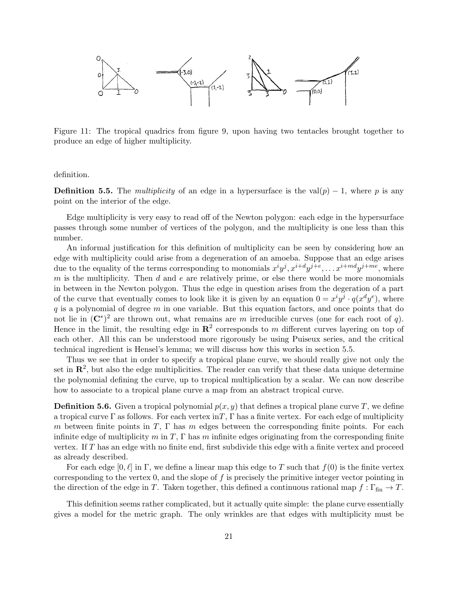

Figure 11: The tropical quadrics from figure 9, upon having two tentacles brought together to produce an edge of higher multiplicity.

definition.

**Definition 5.5.** The *multiplicity* of an edge in a hypersurface is the val $(p) - 1$ , where p is any point on the interior of the edge.

Edge multiplicity is very easy to read off of the Newton polygon: each edge in the hypersurface passes through some number of vertices of the polygon, and the multiplicity is one less than this number.

An informal justification for this definition of multiplicity can be seen by considering how an edge with multiplicity could arise from a degeneration of an amoeba. Suppose that an edge arises due to the equality of the terms corresponding to monomials  $x^i y^j, x^{i+d} y^{j+e}, \ldots x^{i+md} y^{j+me}$ , where m is the multiplicity. Then  $d$  and  $e$  are relatively prime, or else there would be more monomials in between in the Newton polygon. Thus the edge in question arises from the degeration of a part of the curve that eventually comes to look like it is given by an equation  $0 = x^i y^j \cdot q(x^d y^e)$ , where  $q$  is a polynomial of degree  $m$  in one variable. But this equation factors, and once points that do not lie in  $(\mathbb{C}^*)^2$  are thrown out, what remains are m irreducible curves (one for each root of q). Hence in the limit, the resulting edge in  $\mathbb{R}^2$  corresponds to m different curves layering on top of each other. All this can be understood more rigorously be using Puiseux series, and the critical technical ingredient is Hensel's lemma; we will discuss how this works in section 5.5.

Thus we see that in order to specify a tropical plane curve, we should really give not only the set in  $\mathbb{R}^2$ , but also the edge multiplicities. The reader can verify that these data unique determine the polynomial defining the curve, up to tropical multiplication by a scalar. We can now describe how to associate to a tropical plane curve a map from an abstract tropical curve.

**Definition 5.6.** Given a tropical polynomial  $p(x, y)$  that defines a tropical plane curve T, we define a tropical curve  $\Gamma$  as follows. For each vertex in T,  $\Gamma$  has a finite vertex. For each edge of multiplicity m between finite points in T,  $\Gamma$  has m edges between the corresponding finite points. For each infinite edge of multiplicity m in T,  $\Gamma$  has m infinite edges originating from the corresponding finite vertex. If  $T$  has an edge with no finite end, first subdivide this edge with a finite vertex and proceed as already described.

For each edge  $[0, \ell]$  in  $\Gamma$ , we define a linear map this edge to T such that  $f(0)$  is the finite vertex corresponding to the vertex  $0$ , and the slope of  $f$  is precisely the primitive integer vector pointing in the direction of the edge in T. Taken together, this defined a continuous rational map  $f : \Gamma_{fin} \to T$ .

This definition seems rather complicated, but it actually quite simple: the plane curve essentially gives a model for the metric graph. The only wrinkles are that edges with multiplicity must be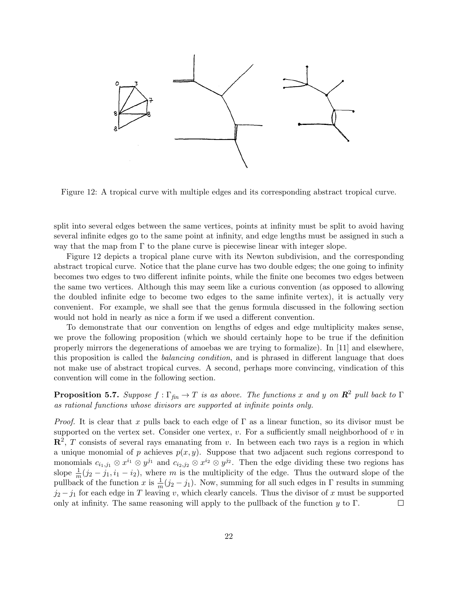

Figure 12: A tropical curve with multiple edges and its corresponding abstract tropical curve.

split into several edges between the same vertices, points at infinity must be split to avoid having several infinite edges go to the same point at infinity, and edge lengths must be assigned in such a way that the map from  $\Gamma$  to the plane curve is piecewise linear with integer slope.

Figure 12 depicts a tropical plane curve with its Newton subdivision, and the corresponding abstract tropical curve. Notice that the plane curve has two double edges; the one going to infinity becomes two edges to two different infinite points, while the finite one becomes two edges between the same two vertices. Although this may seem like a curious convention (as opposed to allowing the doubled infinite edge to become two edges to the same infinite vertex), it is actually very convenient. For example, we shall see that the genus formula discussed in the following section would not hold in nearly as nice a form if we used a different convention.

To demonstrate that our convention on lengths of edges and edge multiplicity makes sense, we prove the following proposition (which we should certainly hope to be true if the definition properly mirrors the degenerations of amoebas we are trying to formalize). In [11] and elsewhere, this proposition is called the balancing condition, and is phrased in different language that does not make use of abstract tropical curves. A second, perhaps more convincing, vindication of this convention will come in the following section.

**Proposition 5.7.** Suppose  $f : \Gamma_{fin} \to T$  is as above. The functions x and y on  $\mathbb{R}^2$  pull back to  $\Gamma$ as rational functions whose divisors are supported at infinite points only.

*Proof.* It is clear that x pulls back to each edge of  $\Gamma$  as a linear function, so its divisor must be supported on the vertex set. Consider one vertex,  $v$ . For a sufficiently small neighborhood of  $v$  in  $\mathbb{R}^2$ , T consists of several rays emanating from v. In between each two rays is a region in which a unique monomial of p achieves  $p(x, y)$ . Suppose that two adjacent such regions correspond to monomials  $c_{i_1,j_1} \otimes x^{i_1} \otimes y^{j_1}$  and  $c_{i_2,j_2} \otimes x^{i_2} \otimes y^{j_2}$ . Then the edge dividing these two regions has slope  $\frac{1}{m}(j_2 - j_1, i_1 - i_2)$ , where m is the multiplicity of the edge. Thus the outward slope of the pullback of the function x is  $\frac{1}{m}(j_2 - j_1)$ . Now, summing for all such edges in  $\Gamma$  results in summing  $j_2 - j_1$  for each edge in T leaving v, which clearly cancels. Thus the divisor of x must be supported only at infinity. The same reasoning will apply to the pullback of the function  $y$  to  $\Gamma$ .  $\Box$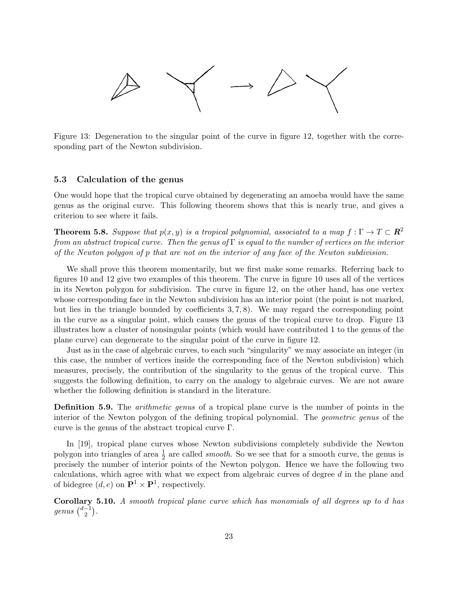

Figure 13: Degeneration to the singular point of the curve in figure 12, together with the corresponding part of the Newton subdivision.

#### 5.3 Calculation of the genus

One would hope that the tropical curve obtained by degenerating an amoeba would have the same genus as the original curve. This following theorem shows that this is nearly true, and gives a criterion to see where it fails.

**Theorem 5.8.** Suppose that  $p(x, y)$  is a tropical polynomial, associated to a map  $f : \Gamma \to T \subset \mathbb{R}^2$ from an abstract tropical curve. Then the genus of  $\Gamma$  is equal to the number of vertices on the interior of the Newton polygon of p that are not on the interior of any face of the Newton subdivision.

We shall prove this theorem momentarily, but we first make some remarks. Referring back to figures 10 and 12 give two examples of this theorem. The curve in figure 10 uses all of the vertices in its Newton polygon for subdivision. The curve in figure 12, on the other hand, has one vertex whose corresponding face in the Newton subdivision has an interior point (the point is not marked, but lies in the triangle bounded by coefficients 3, 7, 8). We may regard the corresponding point in the curve as a singular point, which causes the genus of the tropical curve to drop. Figure 13 illustrates how a cluster of nonsingular points (which would have contributed 1 to the genus of the plane curve) can degenerate to the singular point of the curve in figure 12.

Just as in the case of algebraic curves, to each such "singularity" we may associate an integer (in this case, the number of vertices inside the corresponding face of the Newton subdivision) which measures, precisely, the contribution of the singularity to the genus of the tropical curve. This suggests the following definition, to carry on the analogy to algebraic curves. We are not aware whether the following definition is standard in the literature.

**Definition 5.9.** The *arithmetic genus* of a tropical plane curve is the number of points in the interior of the Newton polygon of the defining tropical polynomial. The *geometric genus* of the curve is the genus of the abstract tropical curve  $\Gamma$ .

In [19], tropical plane curves whose Newton subdivisions completely subdivide the Newton polygon into triangles of area  $\frac{1}{2}$  are called *smooth*. So we see that for a smooth curve, the genus is precisely the number of interior points of the Newton polygon. Hence we have the following two calculations, which agree with what we expect from algebraic curves of degree d in the plane and of bidegree  $(d, e)$  on  $\mathbf{P}^1 \times \mathbf{P}^1$ , respectively.

Corollary 5.10. A smooth tropical plane curve which has monomials of all degrees up to d has genus  $\binom{d-1}{2}$  $\binom{-1}{2}$ .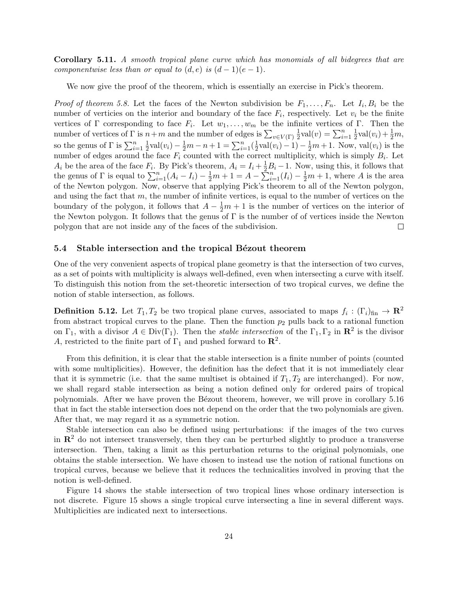Corollary 5.11. A smooth tropical plane curve which has monomials of all bidegrees that are componentwise less than or equal to  $(d, e)$  is  $(d - 1)(e - 1)$ .

We now give the proof of the theorem, which is essentially an exercise in Pick's theorem.

*Proof of theorem 5.8.* Let the faces of the Newton subdivision be  $F_1, \ldots, F_n$ . Let  $I_i, B_i$  be the number of verticies on the interior and boundary of the face  $F_i$ , respectively. Let  $v_i$  be the finite vertices of  $\Gamma$  corresponding to face  $F_i$ . Let  $w_1, \ldots, w_m$  be the infinite vertices of  $\Gamma$ . Then the number of vertices of  $\Gamma$  is  $n+m$  and the number of edges is  $\sum_{v \in V(\Gamma)} \frac{1}{2}$  $\frac{1}{2}$ val $(v) = \sum_{i=1}^{n} \frac{1}{2}$  $\frac{1}{2}$ val $(v_i) + \frac{1}{2}m$ , so the genus of  $\Gamma$  is  $\sum_{i=1}^{n} \frac{1}{2}$  $\frac{1}{2}$ val $(v_i) - \frac{1}{2}m - n + 1 = \sum_{i=1}^{n} (\frac{1}{2})$  $\frac{1}{2}$ val $(v_i) - 1$  –  $\frac{1}{2}m + 1$ . Now, val $(v_i)$  is the number of edges around the face  $F_i$  counted with the correct multiplicity, which is simply  $B_i$ . Let  $A_i$  be the area of the face  $F_i$ . By Pick's theorem,  $A_i = I_i + \frac{1}{2}B_i - 1$ . Now, using this, it follows that the genus of  $\Gamma$  is equal to  $\sum_{i=1}^{n} (A_i - I_i) - \frac{1}{2}m + 1 = A - \sum_{i=1}^{n} (I_i) - \frac{1}{2}m + 1$ , where A is the area of the Newton polygon. Now, observe that applying Pick's theorem to all of the Newton polygon, and using the fact that  $m$ , the number of infinite vertices, is equal to the number of vertices on the boundary of the polygon, it follows that  $A - \frac{1}{2}m + 1$  is the number of vertices on the interior of the Newton polygon. It follows that the genus of  $\Gamma$  is the number of of vertices inside the Newton polygon that are not inside any of the faces of the subdivision.  $\Box$ 

#### 5.4 Stable intersection and the tropical Bézout theorem

One of the very convenient aspects of tropical plane geometry is that the intersection of two curves, as a set of points with multiplicity is always well-defined, even when intersecting a curve with itself. To distinguish this notion from the set-theoretic intersection of two tropical curves, we define the notion of stable intersection, as follows.

**Definition 5.12.** Let  $T_1, T_2$  be two tropical plane curves, associated to maps  $f_i: (\Gamma_i)_{fin} \to \mathbb{R}^2$ from abstract tropical curves to the plane. Then the function  $p_2$  pulls back to a rational function on  $\Gamma_1$ , with a divisor  $A \in Div(\Gamma_1)$ . Then the *stable intersection* of the  $\Gamma_1, \Gamma_2$  in  $\mathbb{R}^2$  is the divisor A, restricted to the finite part of  $\Gamma_1$  and pushed forward to  $\mathbb{R}^2$ .

From this definition, it is clear that the stable intersection is a finite number of points (counted with some multiplicities). However, the definition has the defect that it is not immediately clear that it is symmetric (i.e. that the same multiset is obtained if  $T_1, T_2$  are interchanged). For now, we shall regard stable intersection as being a notion defined only for ordered pairs of tropical polynomials. After we have proven the B´ezout theorem, however, we will prove in corollary 5.16 that in fact the stable intersection does not depend on the order that the two polynomials are given. After that, we may regard it as a symmetric notion.

Stable intersection can also be defined using perturbations: if the images of the two curves in  $\mathbb{R}^2$  do not intersect transversely, then they can be perturbed slightly to produce a transverse intersection. Then, taking a limit as this perturbation returns to the original polynomials, one obtains the stable intersection. We have chosen to instead use the notion of rational functions on tropical curves, because we believe that it reduces the technicalities involved in proving that the notion is well-defined.

Figure 14 shows the stable intersection of two tropical lines whose ordinary intersection is not discrete. Figure 15 shows a single tropical curve intersecting a line in several different ways. Multiplicities are indicated next to intersections.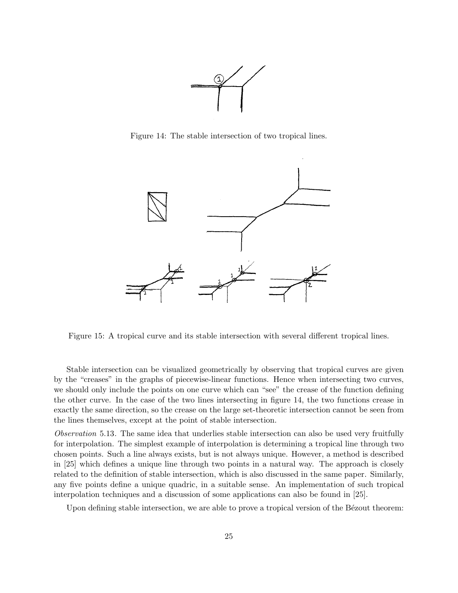

Figure 14: The stable intersection of two tropical lines.



Figure 15: A tropical curve and its stable intersection with several different tropical lines.

Stable intersection can be visualized geometrically by observing that tropical curves are given by the "creases" in the graphs of piecewise-linear functions. Hence when intersecting two curves, we should only include the points on one curve which can "see" the crease of the function defining the other curve. In the case of the two lines intersecting in figure 14, the two functions crease in exactly the same direction, so the crease on the large set-theoretic intersection cannot be seen from the lines themselves, except at the point of stable intersection.

Observation 5.13. The same idea that underlies stable intersection can also be used very fruitfully for interpolation. The simplest example of interpolation is determining a tropical line through two chosen points. Such a line always exists, but is not always unique. However, a method is described in [25] which defines a unique line through two points in a natural way. The approach is closely related to the definition of stable intersection, which is also discussed in the same paper. Similarly, any five points define a unique quadric, in a suitable sense. An implementation of such tropical interpolation techniques and a discussion of some applications can also be found in [25].

Upon defining stable intersection, we are able to prove a tropical version of the Bézout theorem: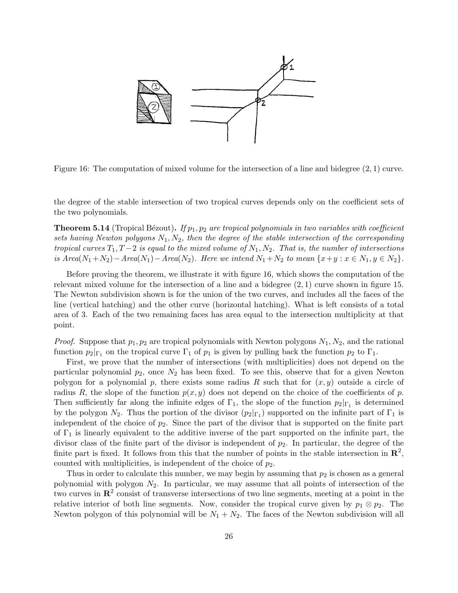

Figure 16: The computation of mixed volume for the intersection of a line and bidegree (2, 1) curve.

the degree of the stable intersection of two tropical curves depends only on the coefficient sets of the two polynomials.

**Theorem 5.14** (Tropical Bézout). If  $p_1, p_2$  are tropical polynomials in two variables with coefficient sets having Newton polygons  $N_1, N_2$ , then the degree of the stable intersection of the corresponding tropical curves  $T_1, T-2$  is equal to the mixed volume of  $N_1, N_2$ . That is, the number of intersections is  $Area(N_1+N_2)-Area(N_1)-Area(N_2)$ . Here we intend  $N_1+N_2$  to mean  $\{x+y : x \in N_1, y \in N_2\}$ .

Before proving the theorem, we illustrate it with figure 16, which shows the computation of the relevant mixed volume for the intersection of a line and a bidegree  $(2, 1)$  curve shown in figure 15. The Newton subdivision shown is for the union of the two curves, and includes all the faces of the line (vertical hatching) and the other curve (horizontal hatching). What is left consists of a total area of 3. Each of the two remaining faces has area equal to the intersection multiplicity at that point.

*Proof.* Suppose that  $p_1, p_2$  are tropical polynomials with Newton polygons  $N_1, N_2$ , and the rational function  $p_2|_{\Gamma_1}$  on the tropical curve  $\Gamma_1$  of  $p_1$  is given by pulling back the function  $p_2$  to  $\Gamma_1$ .

First, we prove that the number of intersections (with multiplicities) does not depend on the particular polynomial  $p_2$ , once  $N_2$  has been fixed. To see this, observe that for a given Newton polygon for a polynomial p, there exists some radius R such that for  $(x, y)$  outside a circle of radius R, the slope of the function  $p(x, y)$  does not depend on the choice of the coefficients of p. Then sufficiently far along the infinite edges of  $\Gamma_1$ , the slope of the function  $p_2|_{\Gamma_1}$  is determined by the polygon  $N_2$ . Thus the portion of the divisor  $(p_2|_{\Gamma_1})$  supported on the infinite part of  $\Gamma_1$  is independent of the choice of  $p_2$ . Since the part of the divisor that is supported on the finite part of  $\Gamma_1$  is linearly equivalent to the additive inverse of the part supported on the infinite part, the divisor class of the finite part of the divisor is independent of  $p_2$ . In particular, the degree of the finite part is fixed. It follows from this that the number of points in the stable intersection in  $\mathbb{R}^2$ , counted with multiplicities, is independent of the choice of  $p_2$ .

Thus in order to calculate this number, we may begin by assuming that  $p_2$  is chosen as a general polynomial with polygon  $N_2$ . In particular, we may assume that all points of intersection of the two curves in  $\mathbb{R}^2$  consist of transverse intersections of two line segments, meeting at a point in the relative interior of both line segments. Now, consider the tropical curve given by  $p_1 \otimes p_2$ . The Newton polygon of this polynomial will be  $N_1 + N_2$ . The faces of the Newton subdivision will all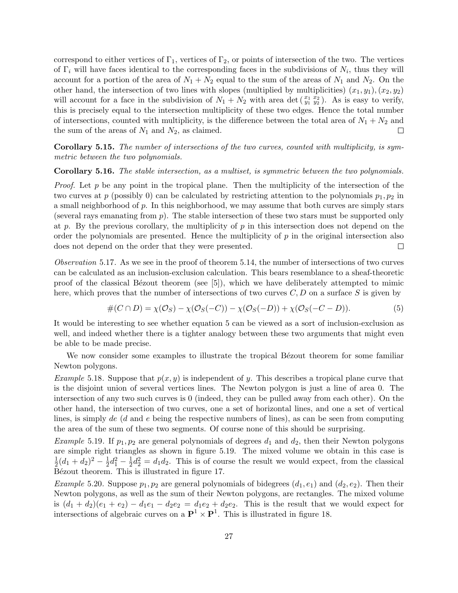correspond to either vertices of  $\Gamma_1$ , vertices of  $\Gamma_2$ , or points of intersection of the two. The vertices of  $\Gamma_i$  will have faces identical to the corresponding faces in the subdivisions of  $N_i$ , thus they will account for a portion of the area of  $N_1 + N_2$  equal to the sum of the areas of  $N_1$  and  $N_2$ . On the other hand, the intersection of two lines with slopes (multiplied by multiplicities)  $(x_1, y_1), (x_2, y_2)$ will account for a face in the subdivision of  $N_1 + N_2$  with area det  $(\frac{x_1}{y_1} \frac{x_2}{y_2})$ . As is easy to verify, this is precisely equal to the intersection multiplicity of these two edges. Hence the total number of intersections, counted with multiplicity, is the difference between the total area of  $N_1 + N_2$  and the sum of the areas of  $N_1$  and  $N_2$ , as claimed.  $\Box$ 

Corollary 5.15. The number of intersections of the two curves, counted with multiplicity, is symmetric between the two polynomials.

Corollary 5.16. The stable intersection, as a multiset, is symmetric between the two polynomials.

*Proof.* Let p be any point in the tropical plane. Then the multiplicity of the intersection of the two curves at p (possibly 0) can be calculated by restricting attention to the polynomials  $p_1, p_2$  in a small neighborhood of p. In this neighborhood, we may assume that both curves are simply stars (several rays emanating from  $p$ ). The stable intersection of these two stars must be supported only at p. By the previous corollary, the multiplicity of  $p$  in this intersection does not depend on the order the polynomials are presented. Hence the multiplicity of  $p$  in the original intersection also does not depend on the order that they were presented.  $\Box$ 

Observation 5.17. As we see in the proof of theorem 5.14, the number of intersections of two curves can be calculated as an inclusion-exclusion calculation. This bears resemblance to a sheaf-theoretic proof of the classical Bézout theorem (see  $[5]$ ), which we have deliberately attempted to mimic here, which proves that the number of intersections of two curves  $C, D$  on a surface S is given by

$$
#(C \cap D) = \chi(\mathcal{O}_S) - \chi(\mathcal{O}_S(-C)) - \chi(\mathcal{O}_S(-D)) + \chi(\mathcal{O}_S(-C - D)).
$$
\n(5)

It would be interesting to see whether equation 5 can be viewed as a sort of inclusion-exclusion as well, and indeed whether there is a tighter analogy between these two arguments that might even be able to be made precise.

We now consider some examples to illustrate the tropical Bézout theorem for some familiar Newton polygons.

Example 5.18. Suppose that  $p(x, y)$  is independent of y. This describes a tropical plane curve that is the disjoint union of several vertices lines. The Newton polygon is just a line of area 0. The intersection of any two such curves is 0 (indeed, they can be pulled away from each other). On the other hand, the intersection of two curves, one a set of horizontal lines, and one a set of vertical lines, is simply de  $(d \text{ and } e \text{ being the respective numbers of lines})$ , as can be seen from computing the area of the sum of these two segments. Of course none of this should be surprising.

*Example* 5.19. If  $p_1, p_2$  are general polynomials of degrees  $d_1$  and  $d_2$ , then their Newton polygons are simple right triangles as shown in figure 5.19. The mixed volume we obtain in this case is 1  $\frac{1}{2}(d_1 + d_2)^2 - \frac{1}{2}$  $\frac{1}{2}d_1^2 - \frac{1}{2}$  $\frac{1}{2}d_2^2 = d_1d_2$ . This is of course the result we would expect, from the classical Bézout theorem. This is illustrated in figure 17.

*Example* 5.20. Suppose  $p_1, p_2$  are general polynomials of bidegrees  $(d_1, e_1)$  and  $(d_2, e_2)$ . Then their Newton polygons, as well as the sum of their Newton polygons, are rectangles. The mixed volume is  $(d_1 + d_2)(e_1 + e_2) - d_1e_1 - d_2e_2 = d_1e_2 + d_2e_2$ . This is the result that we would expect for intersections of algebraic curves on a  $\mathbf{P}^1 \times \mathbf{P}^1$ . This is illustrated in figure 18.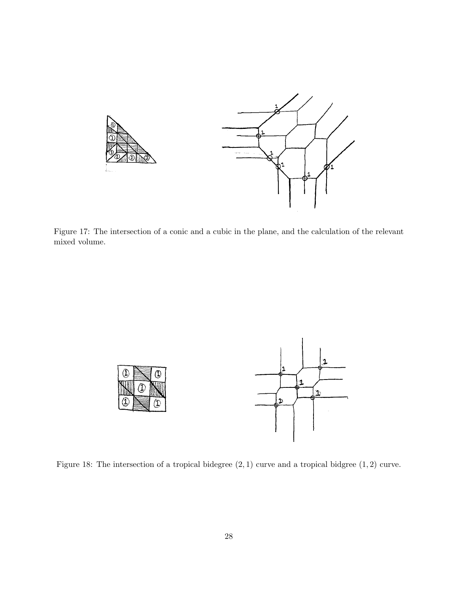

Figure 17: The intersection of a conic and a cubic in the plane, and the calculation of the relevant mixed volume.



Figure 18: The intersection of a tropical bidegree  $(2, 1)$  curve and a tropical bidgree  $(1, 2)$  curve.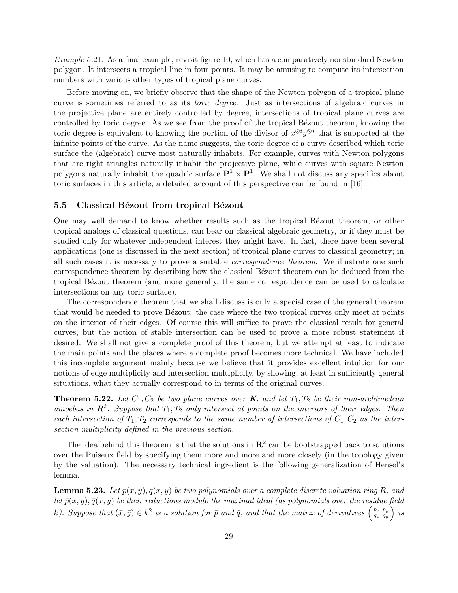Example 5.21. As a final example, revisit figure 10, which has a comparatively nonstandard Newton polygon. It intersects a tropical line in four points. It may be amusing to compute its intersection numbers with various other types of tropical plane curves.

Before moving on, we briefly observe that the shape of the Newton polygon of a tropical plane curve is sometimes referred to as its toric degree. Just as intersections of algebraic curves in the projective plane are entirely controlled by degree, intersections of tropical plane curves are controlled by toric degree. As we see from the proof of the tropical Bézout theorem, knowing the toric degree is equivalent to knowing the portion of the divisor of  $x^{\otimes i}y^{\otimes j}$  that is supported at the infinite points of the curve. As the name suggests, the toric degree of a curve described which toric surface the (algebraic) curve most naturally inhabits. For example, curves with Newton polygons that are right triangles naturally inhabit the projective plane, while curves with square Newton polygons naturally inhabit the quadric surface  $\mathbf{P}^1 \times \mathbf{P}^1$ . We shall not discuss any specifics about toric surfaces in this article; a detailed account of this perspective can be found in [16].

#### 5.5 Classical Bézout from tropical Bézout

One may well demand to know whether results such as the tropical Bézout theorem, or other tropical analogs of classical questions, can bear on classical algebraic geometry, or if they must be studied only for whatever independent interest they might have. In fact, there have been several applications (one is discussed in the next section) of tropical plane curves to classical geometry; in all such cases it is necessary to prove a suitable correspondence theorem. We illustrate one such correspondence theorem by describing how the classical Bézout theorem can be deduced from the tropical Bézout theorem (and more generally, the same correspondence can be used to calculate intersections on any toric surface).

The correspondence theorem that we shall discuss is only a special case of the general theorem that would be needed to prove Bézout: the case where the two tropical curves only meet at points on the interior of their edges. Of course this will suffice to prove the classical result for general curves, but the notion of stable intersection can be used to prove a more robust statement if desired. We shall not give a complete proof of this theorem, but we attempt at least to indicate the main points and the places where a complete proof becomes more technical. We have included this incomplete argument mainly because we believe that it provides excellent intuition for our notions of edge multiplicity and intersection multiplicity, by showing, at least in sufficiently general situations, what they actually correspond to in terms of the original curves.

**Theorem 5.22.** Let  $C_1, C_2$  be two plane curves over **K**, and let  $T_1, T_2$  be their non-archimedean amoebas in  $\mathbb{R}^2$ . Suppose that  $T_1, T_2$  only intersect at points on the interiors of their edges. Then each intersection of  $T_1, T_2$  corresponds to the same number of intersections of  $C_1, C_2$  as the intersection multiplicity defined in the previous section.

The idea behind this theorem is that the solutions in  $\mathbb{R}^2$  can be bootstrapped back to solutions over the Puiseux field by specifying them more and more and more closely (in the topology given by the valuation). The necessary technical ingredient is the following generalization of Hensel's lemma.

**Lemma 5.23.** Let  $p(x, y)$ ,  $q(x, y)$  be two polynomials over a complete discrete valuation ring R, and let  $\bar{p}(x, y), \bar{q}(x, y)$  be their reductions modulo the maximal ideal (as polynomials over the residue field k). Suppose that  $(\bar{x}, \bar{y}) \in k^2$  is a solution for  $\bar{p}$  and  $\bar{q}$ , and that the matrix of derivatives  $\begin{pmatrix} \bar{p_x} & \bar{p_y} \\ \bar{q_x} & \bar{q_y} \end{pmatrix}$  $\left(\begin{smallmatrix} \bar{p_x} & \bar{p_y} \ \bar{q_x} & \bar{q_y} \end{smallmatrix}\right) \; i s$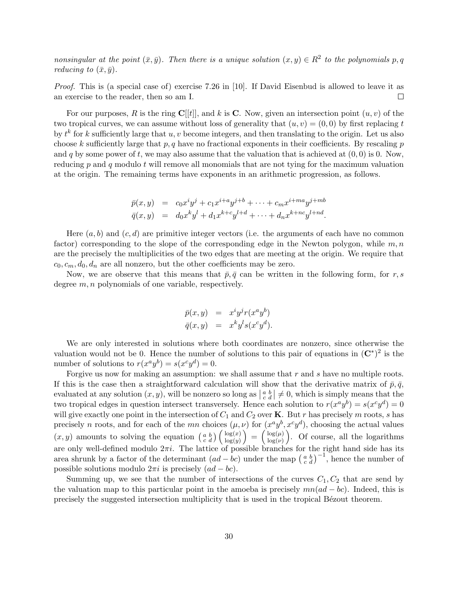nonsingular at the point  $(\bar{x}, \bar{y})$ . Then there is a unique solution  $(x, y) \in R^2$  to the polynomials p, q reducing to  $(\bar{x}, \bar{y})$ .

Proof. This is (a special case of) exercise 7.26 in [10]. If David Eisenbud is allowed to leave it as an exercise to the reader, then so am I.  $\Box$ 

For our purposes, R is the ring  $\mathbf{C}[[t]]$ , and k is C. Now, given an intersection point  $(u, v)$  of the two tropical curves, we can assume without loss of generality that  $(u, v) = (0, 0)$  by first replacing t by  $t^k$  for k sufficiently large that  $u, v$  become integers, and then translating to the origin. Let us also choose k sufficiently large that  $p, q$  have no fractional exponents in their coefficients. By rescaling  $p$ and q by some power of t, we may also assume that the valuation that is achieved at  $(0, 0)$  is 0. Now, reducing  $p$  and  $q$  modulo  $t$  will remove all monomials that are not tying for the maximum valuation at the origin. The remaining terms have exponents in an arithmetic progression, as follows.

$$
\bar{p}(x,y) = c_0 x^i y^j + c_1 x^{i+a} y^{j+b} + \dots + c_m x^{i+m} y^{j+m} \n\bar{q}(x,y) = d_0 x^k y^l + d_1 x^{k+c} y^{l+d} + \dots + d_n x^{k+nc} y^{l+nd}.
$$

Here  $(a, b)$  and  $(c, d)$  are primitive integer vectors (i.e. the arguments of each have no common factor) corresponding to the slope of the corresponding edge in the Newton polygon, while  $m, n$ are the precisely the multiplicities of the two edges that are meeting at the origin. We require that  $c_0, c_m, d_0, d_n$  are all nonzero, but the other coefficients may be zero.

Now, we are observe that this means that  $\bar{p}, \bar{q}$  can be written in the following form, for r, s degree m, n polynomials of one variable, respectively.

$$
\overline{p}(x, y) = x^i y^j r(x^a y^b)
$$
  

$$
\overline{q}(x, y) = x^k y^l s(x^c y^d).
$$

We are only interested in solutions where both coordinates are nonzero, since otherwise the valuation would not be 0. Hence the number of solutions to this pair of equations in  $(\mathbb{C}^*)^2$  is the number of solutions to  $r(x^a y^b) = s(x^c y^d) = 0$ .

Forgive us now for making an assumption: we shall assume that  $r$  and  $s$  have no multiple roots. If this is the case then a straightforward calculation will show that the derivative matrix of  $\bar{p}, \bar{q},$ evaluated at any solution  $(x, y)$ , will be nonzero so long as  $\left| \begin{array}{c} a & b \\ c & d \end{array} \right| \neq 0$ , which is simply means that the two tropical edges in question intersect transversely. Hence each solution to  $r(x^a y^b) = s(x^c y^d) = 0$ will give exactly one point in the intersection of  $C_1$  and  $C_2$  over **K**. But r has precisely m roots, s has precisely n roots, and for each of the mn choices  $(\mu, \nu)$  for  $(x^a y^b, x^c y^d)$ , choosing the actual values  $(x, y)$  amounts to solving the equation  $\begin{pmatrix} a & b \\ c & d \end{pmatrix} \begin{pmatrix} \log(x) \\ \log(y) \end{pmatrix}$  $\begin{pmatrix} \log(x) \\ \log(y) \end{pmatrix} = \begin{pmatrix} \log(\mu) \\ \log(\nu) \end{pmatrix}$  $\log(\mu)$ . Of course, all the logarithms are only well-defined modulo  $2\pi i$ . The lattice of possible branches for the right hand side has its area shrunk by a factor of the determinant  $(ad - bc)$  under the map  $\left(\begin{array}{c} a & b \\ c & d \end{array}\right)^{-1}$ , hence the number of possible solutions modulo  $2\pi i$  is precisely  $(ad - bc)$ .

Summing up, we see that the number of intersections of the curves  $C_1, C_2$  that are send by the valuation map to this particular point in the amoeba is precisely  $mn(ad - bc)$ . Indeed, this is precisely the suggested intersection multiplicity that is used in the tropical B´ezout theorem.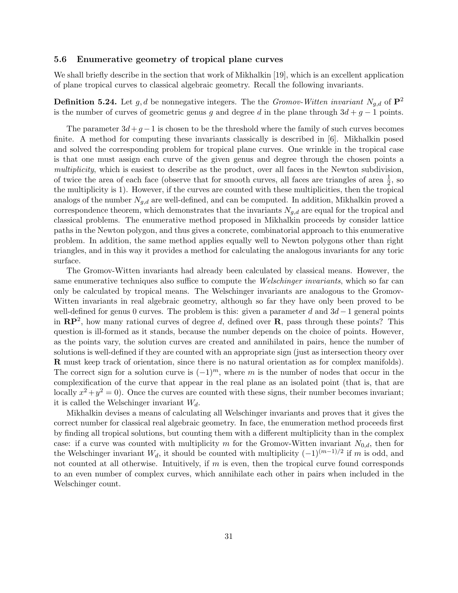#### 5.6 Enumerative geometry of tropical plane curves

We shall briefly describe in the section that work of Mikhalkin [19], which is an excellent application of plane tropical curves to classical algebraic geometry. Recall the following invariants.

**Definition 5.24.** Let g, d be nonnegative integers. The the *Gromov-Witten invariant*  $N_{g,d}$  of  $\mathbf{P}^2$ is the number of curves of geometric genus g and degree d in the plane through  $3d + g - 1$  points.

The parameter  $3d+g-1$  is chosen to be the threshold where the family of such curves becomes finite. A method for computing these invariants classically is described in [6]. Mikhalkin posed and solved the corresponding problem for tropical plane curves. One wrinkle in the tropical case is that one must assign each curve of the given genus and degree through the chosen points a multiplicity, which is easiest to describe as the product, over all faces in the Newton subdivision, of twice the area of each face (observe that for smooth curves, all faces are triangles of area  $\frac{1}{2}$ , so the multiplicity is 1). However, if the curves are counted with these multiplicities, then the tropical analogs of the number  $N_{q,d}$  are well-defined, and can be computed. In addition, Mikhalkin proved a correspondence theorem, which demonstrates that the invariants  $N_{a,d}$  are equal for the tropical and classical problems. The enumerative method proposed in Mikhalkin proceeds by consider lattice paths in the Newton polygon, and thus gives a concrete, combinatorial approach to this enumerative problem. In addition, the same method applies equally well to Newton polygons other than right triangles, and in this way it provides a method for calculating the analogous invariants for any toric surface.

The Gromov-Witten invariants had already been calculated by classical means. However, the same enumerative techniques also suffice to compute the *Welschinger invariants*, which so far can only be calculated by tropical means. The Welschinger invariants are analogous to the Gromov-Witten invariants in real algebraic geometry, although so far they have only been proved to be well-defined for genus 0 curves. The problem is this: given a parameter d and  $3d-1$  general points in  $\mathbb{RP}^2$ , how many rational curves of degree d, defined over R, pass through these points? This question is ill-formed as it stands, because the number depends on the choice of points. However, as the points vary, the solution curves are created and annihilated in pairs, hence the number of solutions is well-defined if they are counted with an appropriate sign (just as intersection theory over R must keep track of orientation, since there is no natural orientation as for complex manifolds). The correct sign for a solution curve is  $(-1)^m$ , where m is the number of nodes that occur in the complexification of the curve that appear in the real plane as an isolated point (that is, that are locally  $x^2 + y^2 = 0$ ). Once the curves are counted with these signs, their number becomes invariant; it is called the Welschinger invariant  $W_d$ .

Mikhalkin devises a means of calculating all Welschinger invariants and proves that it gives the correct number for classical real algebraic geometry. In face, the enumeration method proceeds first by finding all tropical solutions, but counting them with a different multiplicity than in the complex case: if a curve was counted with multiplicity m for the Gromov-Witten invariant  $N_{0,d}$ , then for the Welschinger invariant  $W_d$ , it should be counted with multiplicity  $(-1)^{(m-1)/2}$  if m is odd, and not counted at all otherwise. Intuitively, if  $m$  is even, then the tropical curve found corresponds to an even number of complex curves, which annihilate each other in pairs when included in the Welschinger count.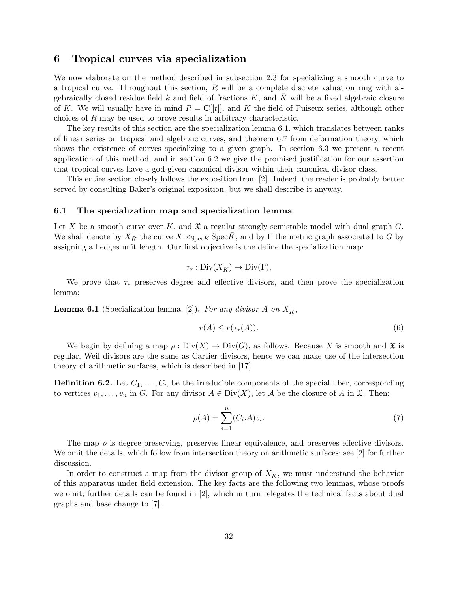## 6 Tropical curves via specialization

We now elaborate on the method described in subsection 2.3 for specializing a smooth curve to a tropical curve. Throughout this section, R will be a complete discrete valuation ring with algebraically closed residue field k and field of fractions K, and  $\bar{K}$  will be a fixed algebraic closure of K. We will usually have in mind  $R = \mathbb{C}[[t]]$ , and  $\overline{K}$  the field of Puiseux series, although other choices of R may be used to prove results in arbitrary characteristic.

The key results of this section are the specialization lemma 6.1, which translates between ranks of linear series on tropical and algebraic curves, and theorem 6.7 from deformation theory, which shows the existence of curves specializing to a given graph. In section 6.3 we present a recent application of this method, and in section 6.2 we give the promised justification for our assertion that tropical curves have a god-given canonical divisor within their canonical divisor class.

This entire section closely follows the exposition from [2]. Indeed, the reader is probably better served by consulting Baker's original exposition, but we shall describe it anyway.

#### 6.1 The specialization map and specialization lemma

Let X be a smooth curve over K, and  $\mathfrak X$  a regular strongly semistable model with dual graph G. We shall denote by  $X_{\bar{K}}$  the curve  $X \times_{\text{Spec} K} \text{Spec} \bar{K}$ , and by  $\Gamma$  the metric graph associated to G by assigning all edges unit length. Our first objective is the define the specialization map:

$$
\tau_*: \text{Div}(X_{\bar{K}}) \to \text{Div}(\Gamma),
$$

We prove that  $\tau_*$  preserves degree and effective divisors, and then prove the specialization lemma:

**Lemma 6.1** (Specialization lemma, [2]). For any divisor A on  $X_{\bar{K}}$ ,

$$
r(A) \le r(\tau_*(A)).\tag{6}
$$

We begin by defining a map  $\rho : Div(X) \to Div(G)$ , as follows. Because X is smooth and  $\mathfrak X$  is regular, Weil divisors are the same as Cartier divisors, hence we can make use of the intersection theory of arithmetic surfaces, which is described in [17].

**Definition 6.2.** Let  $C_1, \ldots, C_n$  be the irreducible components of the special fiber, corresponding to vertices  $v_1, \ldots, v_n$  in G. For any divisor  $A \in Div(X)$ , let A be the closure of A in  $\mathfrak{X}$ . Then:

$$
\rho(A) = \sum_{i=1}^{n} (C_i \cdot A) v_i.
$$
\n(7)

The map  $\rho$  is degree-preserving, preserves linear equivalence, and preserves effective divisors. We omit the details, which follow from intersection theory on arithmetic surfaces; see [2] for further discussion.

In order to construct a map from the divisor group of  $X_{\bar{K}}$ , we must understand the behavior of this apparatus under field extension. The key facts are the following two lemmas, whose proofs we omit; further details can be found in [2], which in turn relegates the technical facts about dual graphs and base change to [7].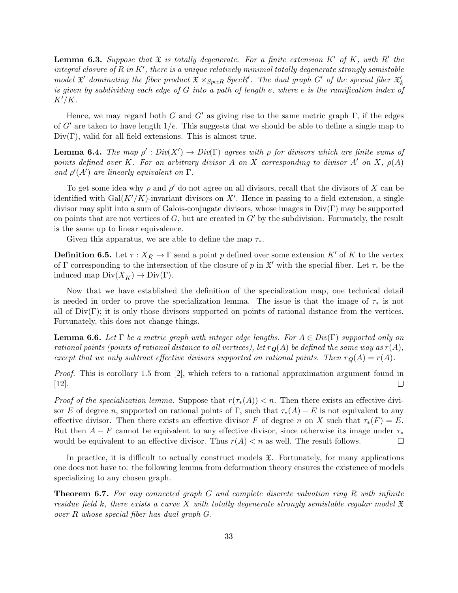**Lemma 6.3.** Suppose that  $\mathfrak{X}$  is totally degenerate. For a finite extension  $K'$  of  $K$ , with  $R'$  the integral closure of  $R$  in  $K'$ , there is a unique relatively minimal totally degenerate strongly semistable model  $\mathfrak{X}'$  dominating the fiber product  $\mathfrak{X} \times_{Spec R} Spec R'$ . The dual graph G' of the special fiber  $\mathfrak{X}'_k$ is given by subdividing each edge of  $G$  into a path of length e, where  $e$  is the ramification index of  $K'/K$ .

Hence, we may regard both G and G' as giving rise to the same metric graph  $\Gamma$ , if the edges of G' are taken to have length  $1/e$ . This suggests that we should be able to define a single map to  $Div(\Gamma)$ , valid for all field extensions. This is almost true.

**Lemma 6.4.** The map  $\rho' : Div(X') \to Div(\Gamma)$  agrees with  $\rho$  for divisors which are finite sums of points defined over K. For an arbitrary divisor A on X corresponding to divisor A' on X,  $\rho(A)$ and  $\rho'(A')$  are linearly equivalent on  $\Gamma$ .

To get some idea why  $\rho$  and  $\rho'$  do not agree on all divisors, recall that the divisors of X can be identified with  $Gal(K'/K)$ -invariant divisors on X'. Hence in passing to a field extension, a single divisor may split into a sum of Galois-conjugate divisors, whose images in  $Div(\Gamma)$  may be supported on points that are not vertices of  $G$ , but are created in  $G'$  by the subdivision. Forunately, the result is the same up to linear equivalence.

Given this apparatus, we are able to define the map  $\tau_*$ .

**Definition 6.5.** Let  $\tau : X_{\bar{K}} \to \Gamma$  send a point p defined over some extension K' of K to the vertex of Γ corresponding to the intersection of the closure of p in  $\mathfrak{X}'$  with the special fiber. Let  $\tau_*$  be the induced map  $Div(X_{\bar{K}}) \to Div(\Gamma)$ .

Now that we have established the definition of the specialization map, one technical detail is needed in order to prove the specialization lemma. The issue is that the image of  $\tau_*$  is not all of  $Div(\Gamma)$ ; it is only those divisors supported on points of rational distance from the vertices. Fortunately, this does not change things.

**Lemma 6.6.** Let  $\Gamma$  be a metric graph with integer edge lengths. For  $A \in Div(\Gamma)$  supported only on rational points (points of rational distance to all vertices), let  $r_{\mathbf{Q}}(A)$  be defined the same way as  $r(A)$ , except that we only subtract effective divisors supported on rational points. Then  $r_{\mathbf{Q}}(A) = r(A)$ .

Proof. This is corollary 1.5 from [2], which refers to a rational approximation argument found in [12].  $\Box$ 

*Proof of the specialization lemma.* Suppose that  $r(\tau_*(A)) < n$ . Then there exists an effective divisor E of degree n, supported on rational points of Γ, such that  $\tau_*(A) - E$  is not equivalent to any effective divisor. Then there exists an effective divisor F of degree n on X such that  $\tau_*(F) = E$ . But then  $A - F$  cannot be equivalent to any effective divisor, since otherwise its image under  $\tau_*$ would be equivalent to an effective divisor. Thus  $r(A) < n$  as well. The result follows.  $\Box$ 

In practice, it is difficult to actually construct models  $\mathfrak{X}$ . Fortunately, for many applications one does not have to: the following lemma from deformation theory ensures the existence of models specializing to any chosen graph.

**Theorem 6.7.** For any connected graph G and complete discrete valuation ring R with infinite residue field k, there exists a curve X with totally degenerate strongly semistable regular model  $\mathfrak X$ over R whose special fiber has dual graph G.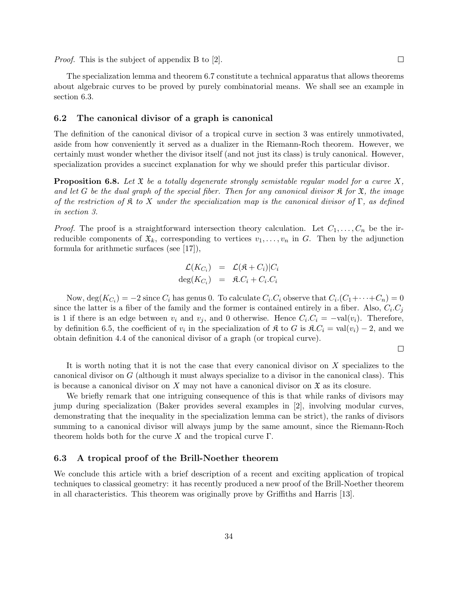Proof. This is the subject of appendix B to [2].

The specialization lemma and theorem 6.7 constitute a technical apparatus that allows theorems about algebraic curves to be proved by purely combinatorial means. We shall see an example in section 6.3.

#### 6.2 The canonical divisor of a graph is canonical

The definition of the canonical divisor of a tropical curve in section 3 was entirely unmotivated, aside from how conveniently it served as a dualizer in the Riemann-Roch theorem. However, we certainly must wonder whether the divisor itself (and not just its class) is truly canonical. However, specialization provides a succinct explanation for why we should prefer this particular divisor.

**Proposition 6.8.** Let  $\mathfrak X$  be a totally degenerate strongly semistable regular model for a curve X, and let G be the dual graph of the special fiber. Then for any canonical divisor  $\mathfrak{K}$  for  $\mathfrak{X}$ , the image of the restriction of  $\mathfrak K$  to X under the specialization map is the canonical divisor of  $\Gamma$ , as defined in section 3.

*Proof.* The proof is a straightforward intersection theory calculation. Let  $C_1, \ldots, C_n$  be the irreducible components of  $\mathfrak{X}_k$ , corresponding to vertices  $v_1, \ldots, v_n$  in G. Then by the adjunction formula for arithmetic surfaces (see [17]),

$$
\mathcal{L}(K_{C_i}) = \mathcal{L}(\mathfrak{K} + C_i)|C_i
$$
  

$$
\deg(K_{C_i}) = \mathfrak{K}.C_i + C_i.C_i
$$

Now,  $\deg(K_{C_i}) = -2$  since  $C_i$  has genus 0. To calculate  $C_i.C_i$  observe that  $C_i.C_1 + \cdots + C_n = 0$ since the latter is a fiber of the family and the former is contained entirely in a fiber. Also,  $C_i.C_j$ is 1 if there is an edge between  $v_i$  and  $v_j$ , and 0 otherwise. Hence  $C_i.C_i = -val(v_i)$ . Therefore, by definition 6.5, the coefficient of  $v_i$  in the specialization of  $\mathfrak K$  to G is  $\mathfrak K$ . $C_i = \text{val}(v_i) - 2$ , and we obtain definition 4.4 of the canonical divisor of a graph (or tropical curve).

 $\Box$ 

It is worth noting that it is not the case that every canonical divisor on X specializes to the canonical divisor on G (although it must always specialize to a divisor in the canonical class). This is because a canonical divisor on X may not have a canonical divisor on  $\mathfrak X$  as its closure.

We briefly remark that one intriguing consequence of this is that while ranks of divisors may jump during specialization (Baker provides several examples in [2], involving modular curves, demonstrating that the inequality in the specialization lemma can be strict), the ranks of divisors summing to a canonical divisor will always jump by the same amount, since the Riemann-Roch theorem holds both for the curve X and the tropical curve  $\Gamma$ .

#### 6.3 A tropical proof of the Brill-Noether theorem

We conclude this article with a brief description of a recent and exciting application of tropical techniques to classical geometry: it has recently produced a new proof of the Brill-Noether theorem in all characteristics. This theorem was originally prove by Griffiths and Harris [13].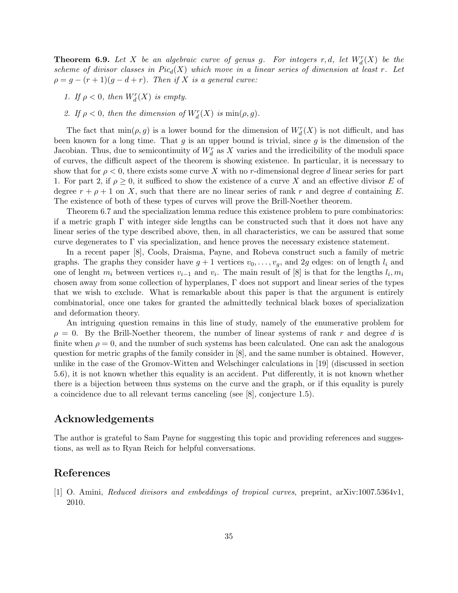**Theorem 6.9.** Let X be an algebraic curve of genus g. For integers  $r, d$ , let  $W_d^r(X)$  be the scheme of divisor classes in  $Pic_d(X)$  which move in a linear series of dimension at least r. Let  $\rho = g - (r + 1)(g - d + r)$ . Then if X is a general curve:

- 1. If  $\rho < 0$ , then  $W_d^r(X)$  is empty.
- 2. If  $\rho < 0$ , then the dimension of  $W_d^r(X)$  is  $\min(\rho, g)$ .

The fact that  $\min(\rho, g)$  is a lower bound for the dimension of  $W_d^r(X)$  is not difficult, and has been known for a long time. That  $g$  is an upper bound is trivial, since  $g$  is the dimension of the Jacobian. Thus, due to semicontinuity of  $W_d^r$  as X varies and the irredicibility of the moduli space of curves, the difficult aspect of the theorem is showing existence. In particular, it is necessary to show that for  $\rho < 0$ , there exists some curve X with no r-dimensional degree d linear series for part 1. For part 2, if  $\rho \geq 0$ , it sufficed to show the existence of a curve X and an effective divisor E of degree  $r + \rho + 1$  on X, such that there are no linear series of rank r and degree d containing E. The existence of both of these types of curves will prove the Brill-Noether theorem.

Theorem 6.7 and the specialization lemma reduce this existence problem to pure combinatorics: if a metric graph Γ with integer side lengths can be constructed such that it does not have any linear series of the type described above, then, in all characteristics, we can be assured that some curve degenerates to  $\Gamma$  via specialization, and hence proves the necessary existence statement.

In a recent paper [8], Cools, Draisma, Payne, and Robeva construct such a family of metric graphs. The graphs they consider have  $g + 1$  vertices  $v_0, \ldots, v_g$ , and 2g edges: on of length  $l_i$  and one of lenght  $m_i$  between vertices  $v_{i-1}$  and  $v_i$ . The main result of [8] is that for the lengths  $l_i, m_i$ chosen away from some collection of hyperplanes,  $\Gamma$  does not support and linear series of the types that we wish to exclude. What is remarkable about this paper is that the argument is entirely combinatorial, once one takes for granted the admittedly technical black boxes of specialization and deformation theory.

An intriguing question remains in this line of study, namely of the enumerative problem for  $\rho = 0$ . By the Brill-Noether theorem, the number of linear systems of rank r and degree d is finite when  $\rho = 0$ , and the number of such systems has been calculated. One can ask the analogous question for metric graphs of the family consider in [8], and the same number is obtained. However, unlike in the case of the Gromov-Witten and Welschinger calculations in [19] (discussed in section 5.6), it is not known whether this equality is an accident. Put differently, it is not known whether there is a bijection between thus systems on the curve and the graph, or if this equality is purely a coincidence due to all relevant terms canceling (see [8], conjecture 1.5).

## Acknowledgements

The author is grateful to Sam Payne for suggesting this topic and providing references and suggestions, as well as to Ryan Reich for helpful conversations.

## References

[1] O. Amini, Reduced divisors and embeddings of tropical curves, preprint, arXiv:1007.5364v1, 2010.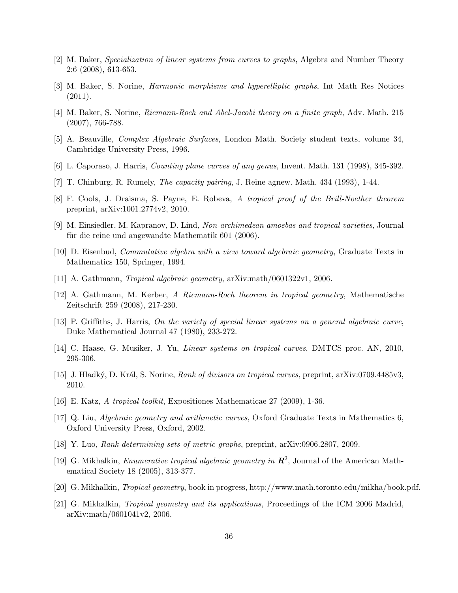- [2] M. Baker, Specialization of linear systems from curves to graphs, Algebra and Number Theory 2:6 (2008), 613-653.
- [3] M. Baker, S. Norine, Harmonic morphisms and hyperelliptic graphs, Int Math Res Notices (2011).
- [4] M. Baker, S. Norine, Riemann-Roch and Abel-Jacobi theory on a finite graph, Adv. Math. 215 (2007), 766-788.
- [5] A. Beauville, Complex Algebraic Surfaces, London Math. Society student texts, volume 34, Cambridge University Press, 1996.
- [6] L. Caporaso, J. Harris, Counting plane curves of any genus, Invent. Math. 131 (1998), 345-392.
- [7] T. Chinburg, R. Rumely, The capacity pairing, J. Reine agnew. Math. 434 (1993), 1-44.
- [8] F. Cools, J. Draisma, S. Payne, E. Robeva, A tropical proof of the Brill-Noether theorem preprint, arXiv:1001.2774v2, 2010.
- [9] M. Einsiedler, M. Kapranov, D. Lind, Non-archimedean amoebas and tropical varieties, Journal für die reine und angewandte Mathematik 601 (2006).
- [10] D. Eisenbud, Commutative algebra with a view toward algebraic geometry, Graduate Texts in Mathematics 150, Springer, 1994.
- [11] A. Gathmann, Tropical algebraic geometry, arXiv:math/0601322v1, 2006.
- [12] A. Gathmann, M. Kerber, A Riemann-Roch theorem in tropical geometry, Mathematische Zeitschrift 259 (2008), 217-230.
- [13] P. Griffiths, J. Harris, On the variety of special linear systems on a general algebraic curve, Duke Mathematical Journal 47 (1980), 233-272.
- [14] C. Haase, G. Musiker, J. Yu, Linear systems on tropical curves, DMTCS proc. AN, 2010, 295-306.
- [15] J. Hladký, D. Král, S. Norine, *Rank of divisors on tropical curves*, preprint, arXiv:0709.4485v3, 2010.
- [16] E. Katz, A tropical toolkit, Expositiones Mathematicae 27 (2009), 1-36.
- [17] Q. Liu, Algebraic geometry and arithmetic curves, Oxford Graduate Texts in Mathematics 6, Oxford University Press, Oxford, 2002.
- [18] Y. Luo, Rank-determining sets of metric graphs, preprint, arXiv:0906.2807, 2009.
- [19] G. Mikhalkin, *Enumerative tropical algebraic geometry in*  $\mathbb{R}^2$ , Journal of the American Mathematical Society 18 (2005), 313-377.
- [20] G. Mikhalkin, Tropical geometry, book in progress, http://www.math.toronto.edu/mikha/book.pdf.
- [21] G. Mikhalkin, Tropical geometry and its applications, Proceedings of the ICM 2006 Madrid, arXiv:math/0601041v2, 2006.